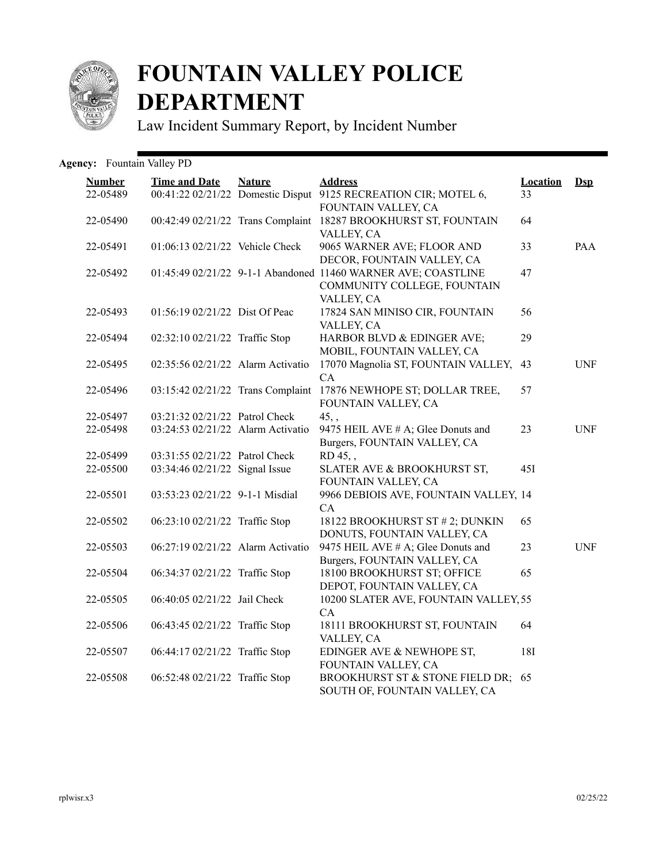

## **FOUNTAIN VALLEY POLICE DEPARTMENT**

Law Incident Summary Report, by Incident Number

| <b>Agency:</b> Fountain Valley PD |  |  |  |  |
|-----------------------------------|--|--|--|--|
|-----------------------------------|--|--|--|--|

| <b>Number</b> | <b>Time and Date</b>              | <b>Nature</b> | <b>Address</b>                                                                              | <b>Location</b><br>33 | $Dsp$      |
|---------------|-----------------------------------|---------------|---------------------------------------------------------------------------------------------|-----------------------|------------|
| 22-05489      |                                   |               | 00:41:22 02/21/22 Domestic Disput 9125 RECREATION CIR; MOTEL 6,<br>FOUNTAIN VALLEY, CA      |                       |            |
| 22-05490      |                                   |               | 00:42:49 02/21/22 Trans Complaint 18287 BROOKHURST ST, FOUNTAIN<br>VALLEY, CA               | 64                    |            |
| 22-05491      | 01:06:13 02/21/22 Vehicle Check   |               | 9065 WARNER AVE; FLOOR AND                                                                  | 33                    | <b>PAA</b> |
| 22-05492      |                                   |               | DECOR, FOUNTAIN VALLEY, CA<br>01:45:49 02/21/22 9-1-1 Abandoned 11460 WARNER AVE; COASTLINE | 47                    |            |
|               |                                   |               | COMMUNITY COLLEGE, FOUNTAIN                                                                 |                       |            |
| 22-05493      | 01:56:19 02/21/22 Dist Of Peac    |               | VALLEY, CA<br>17824 SAN MINISO CIR, FOUNTAIN                                                | 56                    |            |
|               |                                   |               | VALLEY, CA                                                                                  |                       |            |
| 22-05494      | 02:32:10 02/21/22 Traffic Stop    |               | HARBOR BLVD & EDINGER AVE;<br>MOBIL, FOUNTAIN VALLEY, CA                                    | 29                    |            |
| 22-05495      | 02:35:56 02/21/22 Alarm Activatio |               | 17070 Magnolia ST, FOUNTAIN VALLEY,                                                         | 43                    | <b>UNF</b> |
|               |                                   |               | CA                                                                                          |                       |            |
| 22-05496      | 03:15:42 02/21/22 Trans Complaint |               | 17876 NEWHOPE ST; DOLLAR TREE,<br>FOUNTAIN VALLEY, CA                                       | 57                    |            |
| 22-05497      | 03:21:32 02/21/22 Patrol Check    |               | $45,$ ,                                                                                     |                       |            |
| 22-05498      | 03:24:53 02/21/22 Alarm Activatio |               | 9475 HEIL AVE # A; Glee Donuts and                                                          | 23                    | <b>UNF</b> |
|               |                                   |               | Burgers, FOUNTAIN VALLEY, CA                                                                |                       |            |
| 22-05499      | 03:31:55 02/21/22 Patrol Check    |               | RD 45.                                                                                      |                       |            |
| 22-05500      | 03:34:46 02/21/22 Signal Issue    |               | SLATER AVE & BROOKHURST ST,<br>FOUNTAIN VALLEY, CA                                          | 45I                   |            |
| 22-05501      | 03:53:23 02/21/22 9-1-1 Misdial   |               | 9966 DEBIOIS AVE, FOUNTAIN VALLEY, 14<br>CA                                                 |                       |            |
| 22-05502      | 06:23:10 02/21/22 Traffic Stop    |               | 18122 BROOKHURST ST # 2; DUNKIN                                                             | 65                    |            |
|               |                                   |               | DONUTS, FOUNTAIN VALLEY, CA                                                                 |                       |            |
| 22-05503      | 06:27:19 02/21/22 Alarm Activatio |               | 9475 HEIL AVE # A; Glee Donuts and                                                          | 23                    | <b>UNF</b> |
|               |                                   |               | Burgers, FOUNTAIN VALLEY, CA                                                                |                       |            |
| 22-05504      | 06:34:37 02/21/22 Traffic Stop    |               | 18100 BROOKHURST ST; OFFICE<br>DEPOT, FOUNTAIN VALLEY, CA                                   | 65                    |            |
| 22-05505      | 06:40:05 02/21/22 Jail Check      |               | 10200 SLATER AVE, FOUNTAIN VALLEY, 55                                                       |                       |            |
|               |                                   |               | CA                                                                                          |                       |            |
| 22-05506      | 06:43:45 02/21/22 Traffic Stop    |               | 18111 BROOKHURST ST, FOUNTAIN                                                               | 64                    |            |
| 22-05507      | 06:44:17 02/21/22 Traffic Stop    |               | VALLEY, CA<br>EDINGER AVE & NEWHOPE ST,                                                     | <b>18I</b>            |            |
|               |                                   |               | FOUNTAIN VALLEY, CA                                                                         |                       |            |
| 22-05508      | 06:52:48 02/21/22 Traffic Stop    |               | BROOKHURST ST & STONE FIELD DR;<br>SOUTH OF, FOUNTAIN VALLEY, CA                            | 65                    |            |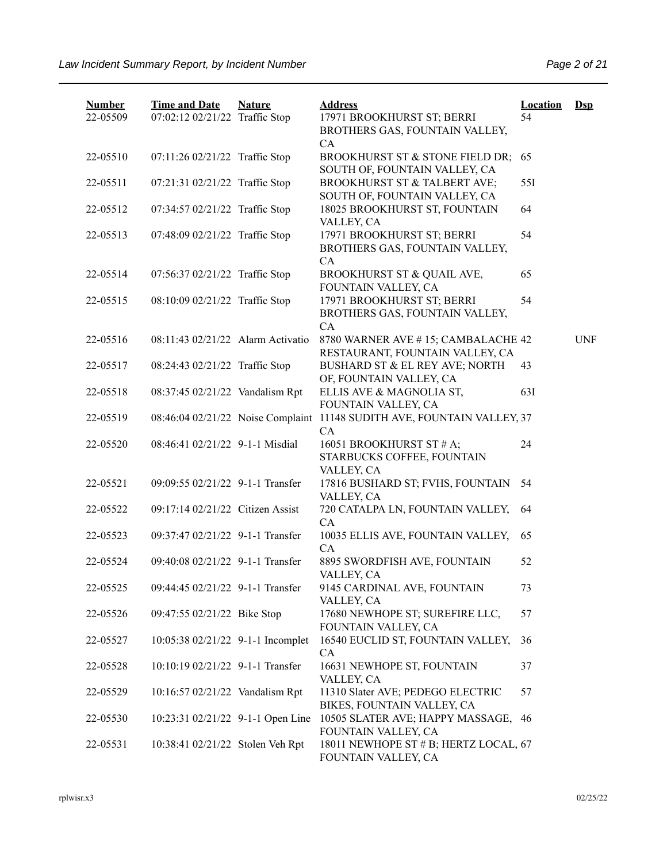| <b>Number</b><br>22-05509 | <b>Time and Date</b><br>07:02:12 02/21/22 Traffic Stop | <b>Nature</b> | <b>Address</b><br>17971 BROOKHURST ST; BERRI<br>BROTHERS GAS, FOUNTAIN VALLEY,                 | <b>Location</b><br>54 | $Ds$       |
|---------------------------|--------------------------------------------------------|---------------|------------------------------------------------------------------------------------------------|-----------------------|------------|
| 22-05510                  | 07:11:26 02/21/22 Traffic Stop                         |               | CA<br>BROOKHURST ST & STONE FIELD DR;                                                          | 65                    |            |
| 22-05511                  | 07:21:31 02/21/22 Traffic Stop                         |               | SOUTH OF, FOUNTAIN VALLEY, CA<br>BROOKHURST ST & TALBERT AVE;<br>SOUTH OF, FOUNTAIN VALLEY, CA | 55I                   |            |
| 22-05512                  | 07:34:57 02/21/22 Traffic Stop                         |               | 18025 BROOKHURST ST, FOUNTAIN<br>VALLEY, CA                                                    | 64                    |            |
| 22-05513                  | 07:48:09 02/21/22 Traffic Stop                         |               | 17971 BROOKHURST ST; BERRI<br>BROTHERS GAS, FOUNTAIN VALLEY,<br>CA                             | 54                    |            |
| 22-05514                  | 07:56:37 02/21/22 Traffic Stop                         |               | BROOKHURST ST & QUAIL AVE,<br>FOUNTAIN VALLEY, CA                                              | 65                    |            |
| 22-05515                  | 08:10:09 02/21/22 Traffic Stop                         |               | 17971 BROOKHURST ST; BERRI<br>BROTHERS GAS, FOUNTAIN VALLEY,                                   | 54                    |            |
| 22-05516                  | 08:11:43 02/21/22 Alarm Activatio                      |               | CA<br>8780 WARNER AVE #15; CAMBALACHE 42<br>RESTAURANT, FOUNTAIN VALLEY, CA                    |                       | <b>UNF</b> |
| 22-05517                  | 08:24:43 02/21/22 Traffic Stop                         |               | BUSHARD ST & EL REY AVE; NORTH<br>OF, FOUNTAIN VALLEY, CA                                      | 43                    |            |
| 22-05518                  | 08:37:45 02/21/22 Vandalism Rpt                        |               | ELLIS AVE & MAGNOLIA ST,<br>FOUNTAIN VALLEY, CA                                                | 63I                   |            |
| 22-05519                  | 08:46:04 02/21/22 Noise Complaint                      |               | 11148 SUDITH AVE, FOUNTAIN VALLEY, 37<br>CA                                                    |                       |            |
| 22-05520                  | 08:46:41 02/21/22 9-1-1 Misdial                        |               | 16051 BROOKHURST ST # A;<br>STARBUCKS COFFEE, FOUNTAIN<br>VALLEY, CA                           | 24                    |            |
| 22-05521                  | 09:09:55 02/21/22 9-1-1 Transfer                       |               | 17816 BUSHARD ST; FVHS, FOUNTAIN<br>VALLEY, CA                                                 | 54                    |            |
| 22-05522                  | 09:17:14 02/21/22 Citizen Assist                       |               | 720 CATALPA LN, FOUNTAIN VALLEY,<br>CA                                                         | 64                    |            |
| 22-05523                  | 09:37:47 02/21/22 9-1-1 Transfer                       |               | 10035 ELLIS AVE, FOUNTAIN VALLEY,<br>CA                                                        | 65                    |            |
| 22-05524                  | 09:40:08 02/21/22 9-1-1 Transfer                       |               | 8895 SWORDFISH AVE, FOUNTAIN<br>VALLEY, CA                                                     | 52                    |            |
| 22-05525                  | 09:44:45 02/21/22 9-1-1 Transfer                       |               | 9145 CARDINAL AVE, FOUNTAIN<br>VALLEY, CA                                                      | 73                    |            |
| 22-05526                  | 09:47:55 02/21/22 Bike Stop                            |               | 17680 NEWHOPE ST; SUREFIRE LLC,<br>FOUNTAIN VALLEY, CA                                         | 57                    |            |
| 22-05527                  | 10:05:38 02/21/22 9-1-1 Incomplet                      |               | 16540 EUCLID ST, FOUNTAIN VALLEY,<br>CA                                                        | 36                    |            |
| 22-05528                  | 10:10:19 02/21/22 9-1-1 Transfer                       |               | 16631 NEWHOPE ST, FOUNTAIN<br>VALLEY, CA                                                       | 37                    |            |
| 22-05529                  | 10:16:57 02/21/22 Vandalism Rpt                        |               | 11310 Slater AVE; PEDEGO ELECTRIC<br>BIKES, FOUNTAIN VALLEY, CA                                | 57                    |            |
| 22-05530                  | 10:23:31 02/21/22 9-1-1 Open Line                      |               | 10505 SLATER AVE; HAPPY MASSAGE,<br>FOUNTAIN VALLEY, CA                                        | -46                   |            |
| 22-05531                  | 10:38:41 02/21/22 Stolen Veh Rpt                       |               | 18011 NEWHOPE ST # B; HERTZ LOCAL, 67<br>FOUNTAIN VALLEY, CA                                   |                       |            |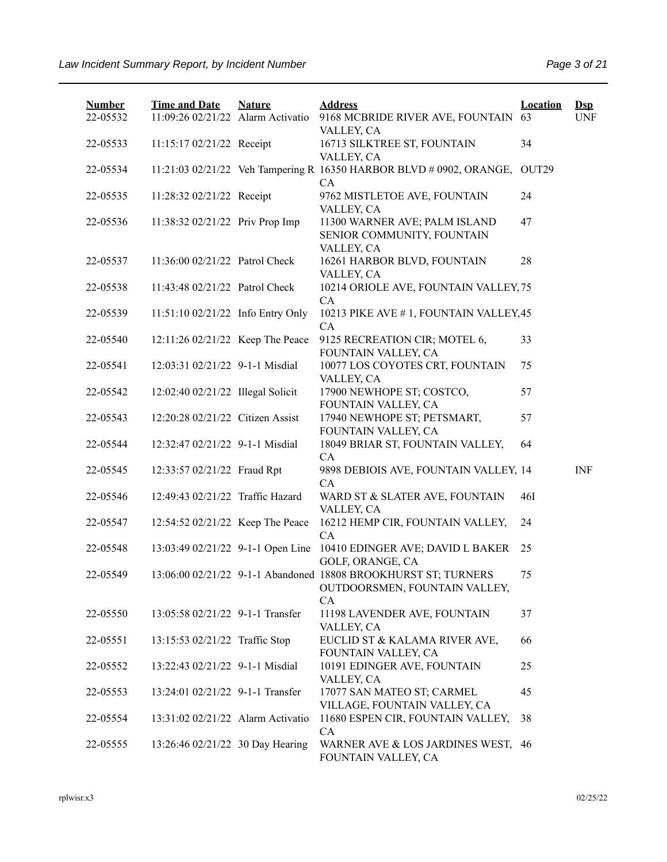| <b>Number</b><br>22-05532 | <b>Time and Date</b><br>11:09:26 02/21/22 Alarm Activatio | <b>Nature</b> | <b>Address</b><br>9168 MCBRIDE RIVER AVE, FOUNTAIN                                                           | <b>Location</b><br>63 | $\mathbf{Dsp}$<br><b>UNF</b> |
|---------------------------|-----------------------------------------------------------|---------------|--------------------------------------------------------------------------------------------------------------|-----------------------|------------------------------|
|                           |                                                           |               | VALLEY, CA                                                                                                   |                       |                              |
| 22-05533                  | 11:15:17 02/21/22 Receipt                                 |               | 16713 SILKTREE ST, FOUNTAIN<br>VALLEY, CA                                                                    | 34                    |                              |
| 22-05534                  |                                                           |               | 11:21:03 02/21/22 Veh Tampering R 16350 HARBOR BLVD # 0902, ORANGE,<br>CA                                    | OUT29                 |                              |
| 22-05535                  | 11:28:32 02/21/22 Receipt                                 |               | 9762 MISTLETOE AVE, FOUNTAIN<br>VALLEY, CA                                                                   | 24                    |                              |
| 22-05536                  | 11:38:32 02/21/22 Priv Prop Imp                           |               | 11300 WARNER AVE; PALM ISLAND<br>SENIOR COMMUNITY, FOUNTAIN<br>VALLEY, CA                                    | 47                    |                              |
| 22-05537                  | 11:36:00 02/21/22 Patrol Check                            |               | 16261 HARBOR BLVD, FOUNTAIN<br>VALLEY, CA                                                                    | 28                    |                              |
| 22-05538                  | 11:43:48 02/21/22 Patrol Check                            |               | 10214 ORIOLE AVE, FOUNTAIN VALLEY, 75<br>CA                                                                  |                       |                              |
| 22-05539                  | 11:51:10 02/21/22 Info Entry Only                         |               | 10213 PIKE AVE #1, FOUNTAIN VALLEY, 45<br>CA                                                                 |                       |                              |
| 22-05540                  | 12:11:26 02/21/22 Keep The Peace                          |               | 9125 RECREATION CIR; MOTEL 6,<br>FOUNTAIN VALLEY, CA                                                         | 33                    |                              |
| 22-05541                  | 12:03:31 02/21/22 9-1-1 Misdial                           |               | 10077 LOS COYOTES CRT, FOUNTAIN<br>VALLEY, CA                                                                | 75                    |                              |
| 22-05542                  | 12:02:40 02/21/22 Illegal Solicit                         |               | 17900 NEWHOPE ST; COSTCO,<br>FOUNTAIN VALLEY, CA                                                             | 57                    |                              |
| 22-05543                  | 12:20:28 02/21/22 Citizen Assist                          |               | 17940 NEWHOPE ST; PETSMART,<br>FOUNTAIN VALLEY, CA                                                           | 57                    |                              |
| 22-05544                  | 12:32:47 02/21/22 9-1-1 Misdial                           |               | 18049 BRIAR ST, FOUNTAIN VALLEY,<br>CA                                                                       | 64                    |                              |
| 22-05545                  | 12:33:57 02/21/22 Fraud Rpt                               |               | 9898 DEBIOIS AVE, FOUNTAIN VALLEY, 14<br>CA                                                                  |                       | <b>INF</b>                   |
| 22-05546                  | 12:49:43 02/21/22 Traffic Hazard                          |               | WARD ST & SLATER AVE, FOUNTAIN<br>VALLEY, CA                                                                 | 46I                   |                              |
| 22-05547                  | 12:54:52 02/21/22 Keep The Peace                          |               | 16212 HEMP CIR, FOUNTAIN VALLEY,<br>CA                                                                       | 24                    |                              |
| 22-05548                  |                                                           |               | 13:03:49 02/21/22 9-1-1 Open Line 10410 EDINGER AVE; DAVID L BAKER<br>GOLF, ORANGE, CA                       | 25                    |                              |
| 22-05549                  |                                                           |               | 13:06:00 02/21/22 9-1-1 Abandoned 18808 BROOKHURST ST; TURNERS<br>OUTDOORSMEN, FOUNTAIN VALLEY,<br><b>CA</b> | 75                    |                              |
| 22-05550                  | 13:05:58 02/21/22 9-1-1 Transfer                          |               | 11198 LAVENDER AVE, FOUNTAIN<br>VALLEY, CA                                                                   | 37                    |                              |
| 22-05551                  | 13:15:53 02/21/22 Traffic Stop                            |               | EUCLID ST & KALAMA RIVER AVE,<br>FOUNTAIN VALLEY, CA                                                         | 66                    |                              |
| 22-05552                  | 13:22:43 02/21/22 9-1-1 Misdial                           |               | 10191 EDINGER AVE, FOUNTAIN<br>VALLEY, CA                                                                    | 25                    |                              |
| 22-05553                  | 13:24:01 02/21/22 9-1-1 Transfer                          |               | 17077 SAN MATEO ST; CARMEL<br>VILLAGE, FOUNTAIN VALLEY, CA                                                   | 45                    |                              |
| 22-05554                  | 13:31:02 02/21/22 Alarm Activatio                         |               | 11680 ESPEN CIR, FOUNTAIN VALLEY,<br>CA                                                                      | 38                    |                              |
| 22-05555                  | 13:26:46 02/21/22 30 Day Hearing                          |               | WARNER AVE & LOS JARDINES WEST, 46<br>FOUNTAIN VALLEY, CA                                                    |                       |                              |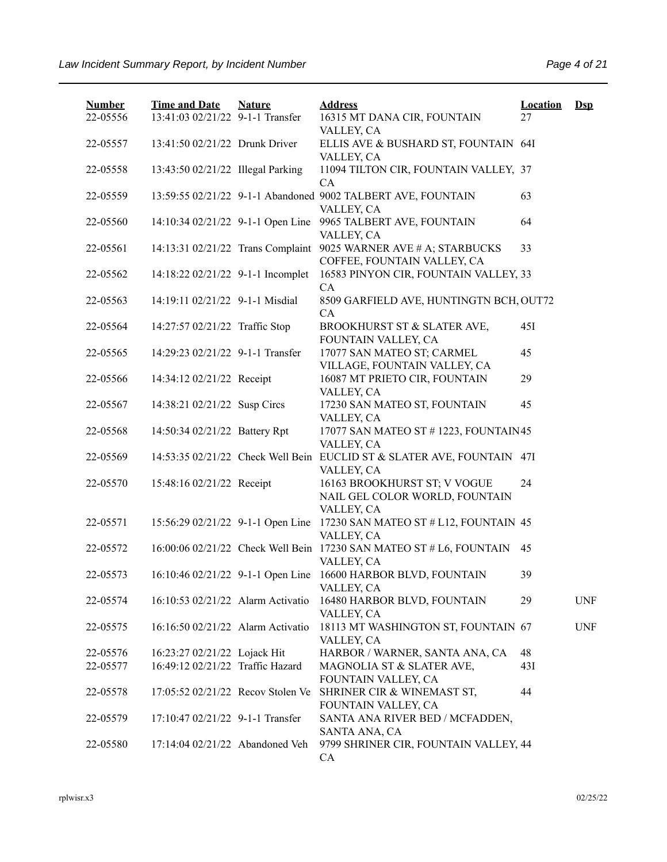| <b>Number</b> | <b>Time and Date</b>              | <b>Nature</b> | <b>Address</b>                                                                                      | <b>Location</b> | $\mathbf{Dsp}$ |
|---------------|-----------------------------------|---------------|-----------------------------------------------------------------------------------------------------|-----------------|----------------|
| 22-05556      | 13:41:03 02/21/22 9-1-1 Transfer  |               | 16315 MT DANA CIR, FOUNTAIN<br>VALLEY, CA                                                           | 27              |                |
| 22-05557      | 13:41:50 02/21/22 Drunk Driver    |               | ELLIS AVE & BUSHARD ST, FOUNTAIN 64I<br>VALLEY, CA                                                  |                 |                |
| 22-05558      | 13:43:50 02/21/22 Illegal Parking |               | 11094 TILTON CIR, FOUNTAIN VALLEY, 37<br>CA                                                         |                 |                |
| 22-05559      |                                   |               | 13:59:55 02/21/22 9-1-1 Abandoned 9002 TALBERT AVE, FOUNTAIN<br>VALLEY, CA                          | 63              |                |
| 22-05560      | 14:10:34 02/21/22 9-1-1 Open Line |               | 9965 TALBERT AVE, FOUNTAIN                                                                          | 64              |                |
| 22-05561      | 14:13:31 02/21/22 Trans Complaint |               | VALLEY, CA<br>9025 WARNER AVE # A; STARBUCKS                                                        | 33              |                |
| 22-05562      | 14:18:22 02/21/22 9-1-1 Incomplet |               | COFFEE, FOUNTAIN VALLEY, CA<br>16583 PINYON CIR, FOUNTAIN VALLEY, 33                                |                 |                |
| 22-05563      | 14:19:11 02/21/22 9-1-1 Misdial   |               | CA<br>8509 GARFIELD AVE, HUNTINGTN BCH, OUT72<br>CA                                                 |                 |                |
| 22-05564      | 14:27:57 02/21/22 Traffic Stop    |               | BROOKHURST ST & SLATER AVE,<br>FOUNTAIN VALLEY, CA                                                  | 45I             |                |
| 22-05565      | 14:29:23 02/21/22 9-1-1 Transfer  |               | 17077 SAN MATEO ST; CARMEL<br>VILLAGE, FOUNTAIN VALLEY, CA                                          | 45              |                |
| 22-05566      | 14:34:12 02/21/22 Receipt         |               | 16087 MT PRIETO CIR, FOUNTAIN<br>VALLEY, CA                                                         | 29              |                |
| 22-05567      | 14:38:21 02/21/22 Susp Circs      |               | 17230 SAN MATEO ST, FOUNTAIN<br>VALLEY, CA                                                          | 45              |                |
| 22-05568      | 14:50:34 02/21/22 Battery Rpt     |               | 17077 SAN MATEO ST # 1223, FOUNTAIN 45<br>VALLEY, CA                                                |                 |                |
| 22-05569      |                                   |               | 14:53:35 02/21/22 Check Well Bein EUCLID ST & SLATER AVE, FOUNTAIN 47I<br>VALLEY, CA                |                 |                |
| 22-05570      | 15:48:16 02/21/22 Receipt         |               | 16163 BROOKHURST ST; V VOGUE<br>NAIL GEL COLOR WORLD, FOUNTAIN                                      | 24              |                |
| 22-05571      |                                   |               | VALLEY, CA<br>15:56:29 02/21/22 9-1-1 Open Line 17230 SAN MATEO ST # L12, FOUNTAIN 45<br>VALLEY, CA |                 |                |
| 22-05572      |                                   |               | 16:00:06 02/21/22 Check Well Bein 17230 SAN MATEO ST # L6, FOUNTAIN<br>VALLEY, CA                   | 45              |                |
| 22-05573      |                                   |               | 16:10:46 02/21/22 9-1-1 Open Line 16600 HARBOR BLVD, FOUNTAIN<br>VALLEY, CA                         | 39              |                |
| 22-05574      | 16:10:53 02/21/22 Alarm Activatio |               | 16480 HARBOR BLVD, FOUNTAIN<br>VALLEY, CA                                                           | 29              | <b>UNF</b>     |
| 22-05575      | 16:16:50 02/21/22 Alarm Activatio |               | 18113 MT WASHINGTON ST, FOUNTAIN 67<br>VALLEY, CA                                                   |                 | <b>UNF</b>     |
| 22-05576      | 16:23:27 02/21/22 Lojack Hit      |               | HARBOR / WARNER, SANTA ANA, CA                                                                      | 48              |                |
| 22-05577      | 16:49:12 02/21/22 Traffic Hazard  |               | MAGNOLIA ST & SLATER AVE,<br>FOUNTAIN VALLEY, CA                                                    | 43I             |                |
| 22-05578      | 17:05:52 02/21/22 Recov Stolen Ve |               | SHRINER CIR & WINEMAST ST,<br>FOUNTAIN VALLEY, CA                                                   | 44              |                |
| 22-05579      | 17:10:47 02/21/22 9-1-1 Transfer  |               | SANTA ANA RIVER BED / MCFADDEN,<br>SANTA ANA, CA                                                    |                 |                |
| 22-05580      | 17:14:04 02/21/22 Abandoned Veh   |               | 9799 SHRINER CIR, FOUNTAIN VALLEY, 44<br>CA                                                         |                 |                |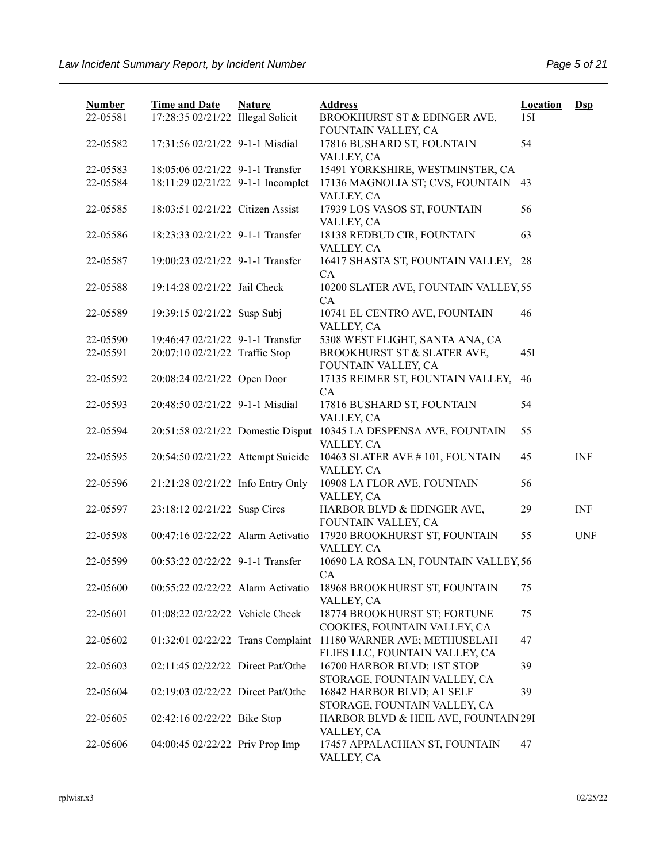| <b>Number</b> | <b>Time and Date</b>              | <b>Nature</b> | <b>Address</b>                                                 | <b>Location</b> | $Dep$      |
|---------------|-----------------------------------|---------------|----------------------------------------------------------------|-----------------|------------|
| 22-05581      | 17:28:35 02/21/22 Illegal Solicit |               | BROOKHURST ST & EDINGER AVE,<br>FOUNTAIN VALLEY, CA            | 15I             |            |
| 22-05582      | 17:31:56 02/21/22 9-1-1 Misdial   |               | 17816 BUSHARD ST, FOUNTAIN<br>VALLEY, CA                       | 54              |            |
| 22-05583      | 18:05:06 02/21/22 9-1-1 Transfer  |               | 15491 YORKSHIRE, WESTMINSTER, CA                               |                 |            |
| 22-05584      | 18:11:29 02/21/22 9-1-1 Incomplet |               | 17136 MAGNOLIA ST; CVS, FOUNTAIN<br>VALLEY, CA                 | 43              |            |
| 22-05585      | 18:03:51 02/21/22 Citizen Assist  |               | 17939 LOS VASOS ST, FOUNTAIN<br>VALLEY, CA                     | 56              |            |
| 22-05586      | 18:23:33 02/21/22 9-1-1 Transfer  |               | 18138 REDBUD CIR, FOUNTAIN<br>VALLEY, CA                       | 63              |            |
| 22-05587      | 19:00:23 02/21/22 9-1-1 Transfer  |               | 16417 SHASTA ST, FOUNTAIN VALLEY, 28<br>CA                     |                 |            |
| 22-05588      | 19:14:28 02/21/22 Jail Check      |               | 10200 SLATER AVE, FOUNTAIN VALLEY, 55<br>CA                    |                 |            |
| 22-05589      | 19:39:15 02/21/22 Susp Subj       |               | 10741 EL CENTRO AVE, FOUNTAIN<br>VALLEY, CA                    | 46              |            |
| 22-05590      | 19:46:47 02/21/22 9-1-1 Transfer  |               | 5308 WEST FLIGHT, SANTA ANA, CA                                |                 |            |
| 22-05591      | 20:07:10 02/21/22 Traffic Stop    |               | BROOKHURST ST & SLATER AVE,<br>FOUNTAIN VALLEY, CA             | 45I             |            |
| 22-05592      | 20:08:24 02/21/22 Open Door       |               | 17135 REIMER ST, FOUNTAIN VALLEY,<br>CA                        | 46              |            |
| 22-05593      | 20:48:50 02/21/22 9-1-1 Misdial   |               | 17816 BUSHARD ST, FOUNTAIN<br>VALLEY, CA                       | 54              |            |
| 22-05594      | 20:51:58 02/21/22 Domestic Disput |               | 10345 LA DESPENSA AVE, FOUNTAIN<br>VALLEY, CA                  | 55              |            |
| 22-05595      | 20:54:50 02/21/22 Attempt Suicide |               | 10463 SLATER AVE #101, FOUNTAIN<br>VALLEY, CA                  | 45              | <b>INF</b> |
| 22-05596      | 21:21:28 02/21/22 Info Entry Only |               | 10908 LA FLOR AVE, FOUNTAIN<br>VALLEY, CA                      | 56              |            |
| 22-05597      | 23:18:12 02/21/22 Susp Circs      |               | HARBOR BLVD & EDINGER AVE,<br>FOUNTAIN VALLEY, CA              | 29              | <b>INF</b> |
| 22-05598      | 00:47:16 02/22/22 Alarm Activatio |               | 17920 BROOKHURST ST, FOUNTAIN<br>VALLEY, CA                    | 55              | <b>UNF</b> |
| 22-05599      | 00:53:22 02/22/22 9-1-1 Transfer  |               | 10690 LA ROSA LN, FOUNTAIN VALLEY, 56<br>CA                    |                 |            |
| 22-05600      | 00:55:22 02/22/22 Alarm Activatio |               | 18968 BROOKHURST ST, FOUNTAIN<br>VALLEY, CA                    | 75              |            |
| 22-05601      | 01:08:22 02/22/22 Vehicle Check   |               | 18774 BROOKHURST ST; FORTUNE<br>COOKIES, FOUNTAIN VALLEY, CA   | 75              |            |
| 22-05602      | 01:32:01 02/22/22 Trans Complaint |               | 11180 WARNER AVE; METHUSELAH<br>FLIES LLC, FOUNTAIN VALLEY, CA | 47              |            |
| 22-05603      | 02:11:45 02/22/22 Direct Pat/Othe |               | 16700 HARBOR BLVD; 1ST STOP<br>STORAGE, FOUNTAIN VALLEY, CA    | 39              |            |
| 22-05604      | 02:19:03 02/22/22 Direct Pat/Othe |               | 16842 HARBOR BLVD; A1 SELF<br>STORAGE, FOUNTAIN VALLEY, CA     | 39              |            |
| 22-05605      | 02:42:16 02/22/22 Bike Stop       |               | HARBOR BLVD & HEIL AVE, FOUNTAIN 29I<br>VALLEY, CA             |                 |            |
| 22-05606      | 04:00:45 02/22/22 Priv Prop Imp   |               | 17457 APPALACHIAN ST, FOUNTAIN<br>VALLEY, CA                   | 47              |            |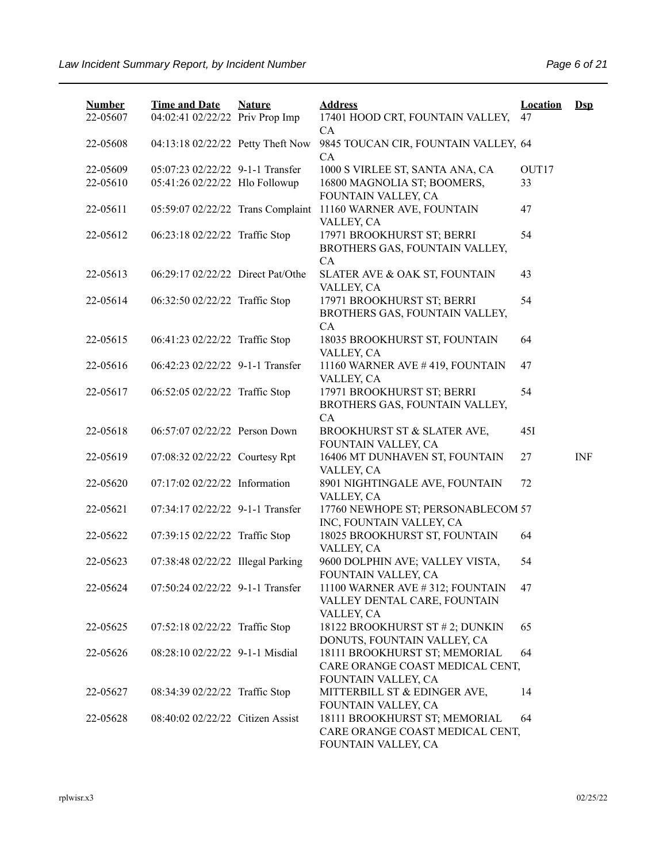| <b>Number</b> | <b>Time and Date</b>              | <b>Nature</b> | <b>Address</b>                                                                          | <b>Location</b> | $\mathbf{Dsp}$ |
|---------------|-----------------------------------|---------------|-----------------------------------------------------------------------------------------|-----------------|----------------|
| 22-05607      | 04:02:41 02/22/22 Priv Prop Imp   |               | 17401 HOOD CRT, FOUNTAIN VALLEY,<br>CA                                                  | 47              |                |
| 22-05608      | 04:13:18 02/22/22 Petty Theft Now |               | 9845 TOUCAN CIR, FOUNTAIN VALLEY, 64<br>CA                                              |                 |                |
| 22-05609      | 05:07:23 02/22/22 9-1-1 Transfer  |               | 1000 S VIRLEE ST, SANTA ANA, CA                                                         | OUT17           |                |
| 22-05610      | 05:41:26 02/22/22 Hlo Followup    |               | 16800 MAGNOLIA ST; BOOMERS,<br>FOUNTAIN VALLEY, CA                                      | 33              |                |
| 22-05611      | 05:59:07 02/22/22 Trans Complaint |               | 11160 WARNER AVE, FOUNTAIN<br>VALLEY, CA                                                | 47              |                |
| 22-05612      | 06:23:18 02/22/22 Traffic Stop    |               | 17971 BROOKHURST ST; BERRI<br>BROTHERS GAS, FOUNTAIN VALLEY,<br>CA                      | 54              |                |
| 22-05613      | 06:29:17 02/22/22 Direct Pat/Othe |               | SLATER AVE & OAK ST, FOUNTAIN<br>VALLEY, CA                                             | 43              |                |
| 22-05614      | 06:32:50 02/22/22 Traffic Stop    |               | 17971 BROOKHURST ST; BERRI<br>BROTHERS GAS, FOUNTAIN VALLEY,<br>CA                      | 54              |                |
| 22-05615      | 06:41:23 02/22/22 Traffic Stop    |               | 18035 BROOKHURST ST, FOUNTAIN<br>VALLEY, CA                                             | 64              |                |
| 22-05616      | 06:42:23 02/22/22 9-1-1 Transfer  |               | 11160 WARNER AVE #419, FOUNTAIN<br>VALLEY, CA                                           | 47              |                |
| 22-05617      | 06:52:05 02/22/22 Traffic Stop    |               | 17971 BROOKHURST ST; BERRI<br>BROTHERS GAS, FOUNTAIN VALLEY,<br>CA                      | 54              |                |
| 22-05618      | 06:57:07 02/22/22 Person Down     |               | BROOKHURST ST & SLATER AVE,<br>FOUNTAIN VALLEY, CA                                      | 45I             |                |
| 22-05619      | 07:08:32 02/22/22 Courtesy Rpt    |               | 16406 MT DUNHAVEN ST, FOUNTAIN<br>VALLEY, CA                                            | 27              | <b>INF</b>     |
| 22-05620      | 07:17:02 02/22/22 Information     |               | 8901 NIGHTINGALE AVE, FOUNTAIN<br>VALLEY, CA                                            | 72              |                |
| 22-05621      | 07:34:17 02/22/22 9-1-1 Transfer  |               | 17760 NEWHOPE ST; PERSONABLECOM 57<br>INC, FOUNTAIN VALLEY, CA                          |                 |                |
| 22-05622      | 07:39:15 02/22/22 Traffic Stop    |               | 18025 BROOKHURST ST, FOUNTAIN<br>VALLEY, CA                                             | 64              |                |
| 22-05623      | 07:38:48 02/22/22 Illegal Parking |               | 9600 DOLPHIN AVE; VALLEY VISTA,<br>FOUNTAIN VALLEY, CA                                  | 54              |                |
| 22-05624      | 07:50:24 02/22/22 9-1-1 Transfer  |               | 11100 WARNER AVE #312; FOUNTAIN<br>VALLEY DENTAL CARE, FOUNTAIN<br>VALLEY, CA           | 47              |                |
| 22-05625      | 07:52:18 02/22/22 Traffic Stop    |               | 18122 BROOKHURST ST # 2; DUNKIN<br>DONUTS, FOUNTAIN VALLEY, CA                          | 65              |                |
| 22-05626      | 08:28:10 02/22/22 9-1-1 Misdial   |               | 18111 BROOKHURST ST; MEMORIAL<br>CARE ORANGE COAST MEDICAL CENT,<br>FOUNTAIN VALLEY, CA | 64              |                |
| 22-05627      | 08:34:39 02/22/22 Traffic Stop    |               | MITTERBILL ST & EDINGER AVE,<br>FOUNTAIN VALLEY, CA                                     | 14              |                |
| 22-05628      | 08:40:02 02/22/22 Citizen Assist  |               | 18111 BROOKHURST ST; MEMORIAL<br>CARE ORANGE COAST MEDICAL CENT,<br>FOUNTAIN VALLEY, CA | 64              |                |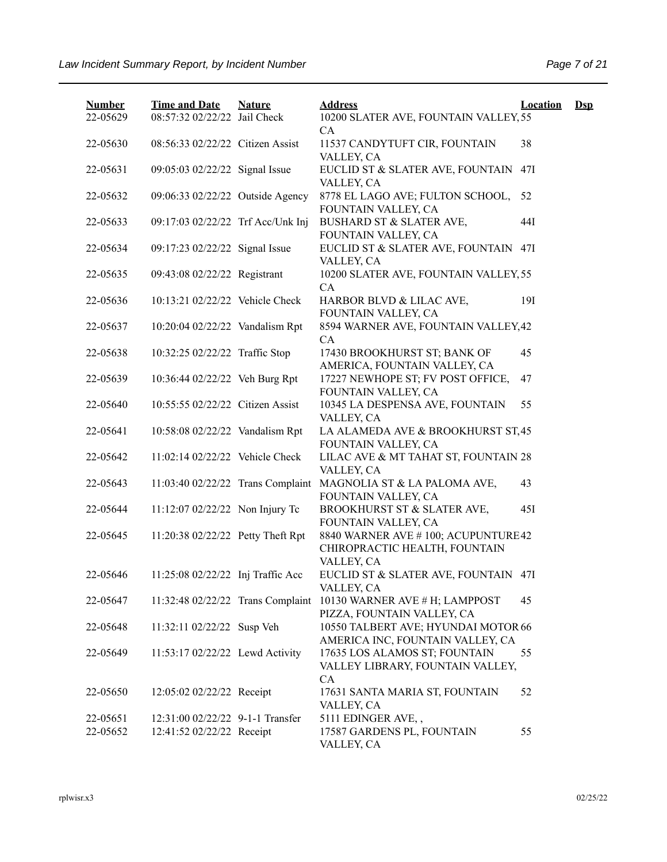| <b>Number</b><br>22-05629 | <b>Time and Date</b><br>08:57:32 02/22/22 Jail Check | <b>Nature</b> | <b>Address</b><br>10200 SLATER AVE, FOUNTAIN VALLEY, 55                           | <b>Location</b> | $Ds$ |
|---------------------------|------------------------------------------------------|---------------|-----------------------------------------------------------------------------------|-----------------|------|
| 22-05630                  | 08:56:33 02/22/22 Citizen Assist                     |               | CA<br>11537 CANDYTUFT CIR, FOUNTAIN<br>VALLEY, CA                                 | 38              |      |
| 22-05631                  | 09:05:03 02/22/22 Signal Issue                       |               | EUCLID ST & SLATER AVE, FOUNTAIN<br>VALLEY, CA                                    | 47I             |      |
| 22-05632                  | 09:06:33 02/22/22 Outside Agency                     |               | 8778 EL LAGO AVE; FULTON SCHOOL,<br>FOUNTAIN VALLEY, CA                           | 52              |      |
| 22-05633                  | 09:17:03 02/22/22 Trf Acc/Unk Inj                    |               | BUSHARD ST & SLATER AVE,<br>FOUNTAIN VALLEY, CA                                   | 44I             |      |
| 22-05634                  | 09:17:23 02/22/22 Signal Issue                       |               | EUCLID ST & SLATER AVE, FOUNTAIN<br>VALLEY, CA                                    | 47I             |      |
| 22-05635                  | 09:43:08 02/22/22 Registrant                         |               | 10200 SLATER AVE, FOUNTAIN VALLEY, 55<br>CA                                       |                 |      |
| 22-05636                  | 10:13:21 02/22/22 Vehicle Check                      |               | HARBOR BLVD & LILAC AVE,<br>FOUNTAIN VALLEY, CA                                   | 19I             |      |
| 22-05637                  | 10:20:04 02/22/22 Vandalism Rpt                      |               | 8594 WARNER AVE, FOUNTAIN VALLEY, 42<br>CA                                        |                 |      |
| 22-05638                  | 10:32:25 02/22/22 Traffic Stop                       |               | 17430 BROOKHURST ST; BANK OF<br>AMERICA, FOUNTAIN VALLEY, CA                      | 45              |      |
| 22-05639                  | 10:36:44 02/22/22 Veh Burg Rpt                       |               | 17227 NEWHOPE ST; FV POST OFFICE,<br>FOUNTAIN VALLEY, CA                          | 47              |      |
| 22-05640                  | 10:55:55 02/22/22 Citizen Assist                     |               | 10345 LA DESPENSA AVE, FOUNTAIN<br>VALLEY, CA                                     | 55              |      |
| 22-05641                  | 10:58:08 02/22/22 Vandalism Rpt                      |               | LA ALAMEDA AVE & BROOKHURST ST, 45<br>FOUNTAIN VALLEY, CA                         |                 |      |
| 22-05642                  | 11:02:14 02/22/22 Vehicle Check                      |               | LILAC AVE & MT TAHAT ST, FOUNTAIN 28<br>VALLEY, CA                                |                 |      |
| 22-05643                  | 11:03:40 02/22/22 Trans Complaint                    |               | MAGNOLIA ST & LA PALOMA AVE,<br>FOUNTAIN VALLEY, CA                               | 43              |      |
| 22-05644                  | 11:12:07 02/22/22 Non Injury Tc                      |               | BROOKHURST ST & SLATER AVE,<br>FOUNTAIN VALLEY, CA                                | 45I             |      |
| 22-05645                  | 11:20:38 02/22/22 Petty Theft Rpt                    |               | 8840 WARNER AVE #100; ACUPUNTURE42<br>CHIROPRACTIC HEALTH, FOUNTAIN<br>VALLEY, CA |                 |      |
| 22-05646                  | 11:25:08 02/22/22 Inj Traffic Acc                    |               | EUCLID ST & SLATER AVE, FOUNTAIN 47I<br>VALLEY, CA                                |                 |      |
| 22-05647                  | 11:32:48 02/22/22 Trans Complaint                    |               | 10130 WARNER AVE # H; LAMPPOST<br>PIZZA, FOUNTAIN VALLEY, CA                      | 45              |      |
| 22-05648                  | 11:32:11 02/22/22 Susp Veh                           |               | 10550 TALBERT AVE; HYUNDAI MOTOR 66<br>AMERICA INC, FOUNTAIN VALLEY, CA           |                 |      |
| 22-05649                  | 11:53:17 02/22/22 Lewd Activity                      |               | 17635 LOS ALAMOS ST; FOUNTAIN<br>VALLEY LIBRARY, FOUNTAIN VALLEY,<br><b>CA</b>    | 55              |      |
| 22-05650                  | 12:05:02 02/22/22 Receipt                            |               | 17631 SANTA MARIA ST, FOUNTAIN<br>VALLEY, CA                                      | 52              |      |
| 22-05651                  | 12:31:00 02/22/22 9-1-1 Transfer                     |               | 5111 EDINGER AVE,,                                                                |                 |      |
| 22-05652                  | 12:41:52 02/22/22 Receipt                            |               | 17587 GARDENS PL, FOUNTAIN<br>VALLEY, CA                                          | 55              |      |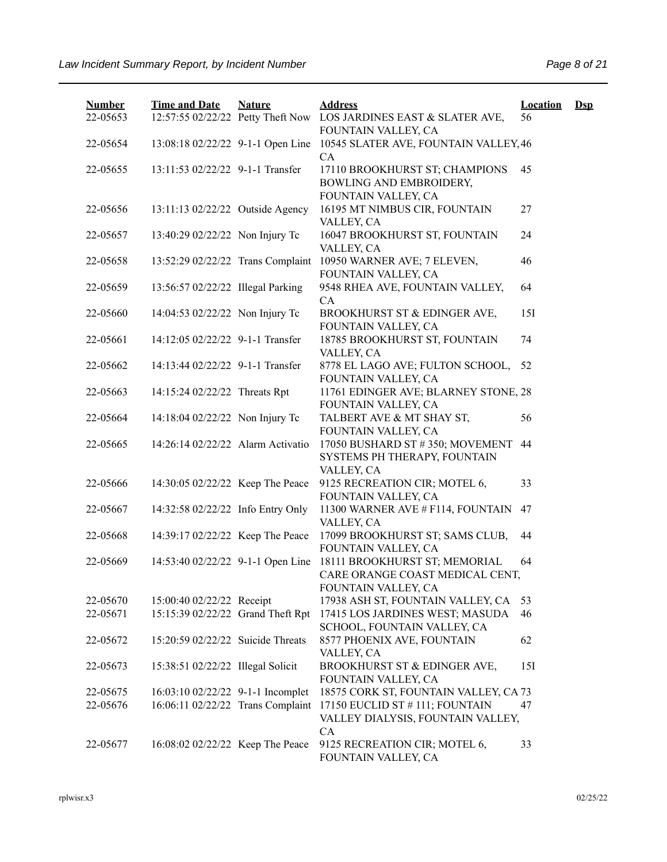| <b>Number</b> | <b>Time and Date</b>              | <b>Nature</b> | <b>Address</b>                                                                          | <b>Location</b> | $\mathbf{Dsp}$ |
|---------------|-----------------------------------|---------------|-----------------------------------------------------------------------------------------|-----------------|----------------|
| 22-05653      | 12:57:55 02/22/22 Petty Theft Now |               | LOS JARDINES EAST & SLATER AVE,<br>FOUNTAIN VALLEY, CA                                  | 56              |                |
| 22-05654      | 13:08:18 02/22/22 9-1-1 Open Line |               | 10545 SLATER AVE, FOUNTAIN VALLEY, 46<br>CA                                             |                 |                |
| 22-05655      | 13:11:53 02/22/22 9-1-1 Transfer  |               | 17110 BROOKHURST ST; CHAMPIONS<br>BOWLING AND EMBROIDERY,<br>FOUNTAIN VALLEY, CA        | 45              |                |
| 22-05656      | 13:11:13 02/22/22 Outside Agency  |               | 16195 MT NIMBUS CIR, FOUNTAIN<br>VALLEY, CA                                             | 27              |                |
| 22-05657      | 13:40:29 02/22/22 Non Injury Tc   |               | 16047 BROOKHURST ST, FOUNTAIN<br>VALLEY, CA                                             | 24              |                |
| 22-05658      | 13:52:29 02/22/22 Trans Complaint |               | 10950 WARNER AVE; 7 ELEVEN,<br>FOUNTAIN VALLEY, CA                                      | 46              |                |
| 22-05659      | 13:56:57 02/22/22 Illegal Parking |               | 9548 RHEA AVE, FOUNTAIN VALLEY,<br><b>CA</b>                                            | 64              |                |
| 22-05660      | 14:04:53 02/22/22 Non Injury Tc   |               | BROOKHURST ST & EDINGER AVE,<br>FOUNTAIN VALLEY, CA                                     | 15I             |                |
| 22-05661      | 14:12:05 02/22/22 9-1-1 Transfer  |               | 18785 BROOKHURST ST, FOUNTAIN<br>VALLEY, CA                                             | 74              |                |
| 22-05662      | 14:13:44 02/22/22 9-1-1 Transfer  |               | 8778 EL LAGO AVE; FULTON SCHOOL,<br>FOUNTAIN VALLEY, CA                                 | 52              |                |
| 22-05663      | 14:15:24 02/22/22 Threats Rpt     |               | 11761 EDINGER AVE; BLARNEY STONE, 28<br>FOUNTAIN VALLEY, CA                             |                 |                |
| 22-05664      | 14:18:04 02/22/22 Non Injury Tc   |               | TALBERT AVE & MT SHAY ST,<br>FOUNTAIN VALLEY, CA                                        | 56              |                |
| 22-05665      | 14:26:14 02/22/22 Alarm Activatio |               | 17050 BUSHARD ST #350; MOVEMENT<br>SYSTEMS PH THERAPY, FOUNTAIN<br>VALLEY, CA           | 44              |                |
| 22-05666      | 14:30:05 02/22/22 Keep The Peace  |               | 9125 RECREATION CIR; MOTEL 6,<br>FOUNTAIN VALLEY, CA                                    | 33              |                |
| 22-05667      | 14:32:58 02/22/22 Info Entry Only |               | 11300 WARNER AVE # F114, FOUNTAIN<br>VALLEY, CA                                         | 47              |                |
| 22-05668      | 14:39:17 02/22/22 Keep The Peace  |               | 17099 BROOKHURST ST; SAMS CLUB,<br>FOUNTAIN VALLEY, CA                                  | 44              |                |
| 22-05669      | 14:53:40 02/22/22 9-1-1 Open Line |               | 18111 BROOKHURST ST; MEMORIAL<br>CARE ORANGE COAST MEDICAL CENT,<br>FOUNTAIN VALLEY, CA | 64              |                |
| 22-05670      | 15:00:40 02/22/22 Receipt         |               | 17938 ASH ST, FOUNTAIN VALLEY, CA                                                       | 53              |                |
| 22-05671      | 15:15:39 02/22/22 Grand Theft Rpt |               | 17415 LOS JARDINES WEST; MASUDA<br>SCHOOL, FOUNTAIN VALLEY, CA                          | 46              |                |
| 22-05672      | 15:20:59 02/22/22 Suicide Threats |               | 8577 PHOENIX AVE, FOUNTAIN<br>VALLEY, CA                                                | 62              |                |
| 22-05673      | 15:38:51 02/22/22 Illegal Solicit |               | BROOKHURST ST & EDINGER AVE,<br>FOUNTAIN VALLEY, CA                                     | 15I             |                |
| 22-05675      | 16:03:10 02/22/22 9-1-1 Incomplet |               | 18575 CORK ST, FOUNTAIN VALLEY, CA 73                                                   |                 |                |
| 22-05676      | 16:06:11 02/22/22 Trans Complaint |               | 17150 EUCLID ST # 111; FOUNTAIN<br>VALLEY DIALYSIS, FOUNTAIN VALLEY,<br><b>CA</b>       | 47              |                |
| 22-05677      | 16:08:02 02/22/22 Keep The Peace  |               | 9125 RECREATION CIR; MOTEL 6,<br>FOUNTAIN VALLEY, CA                                    | 33              |                |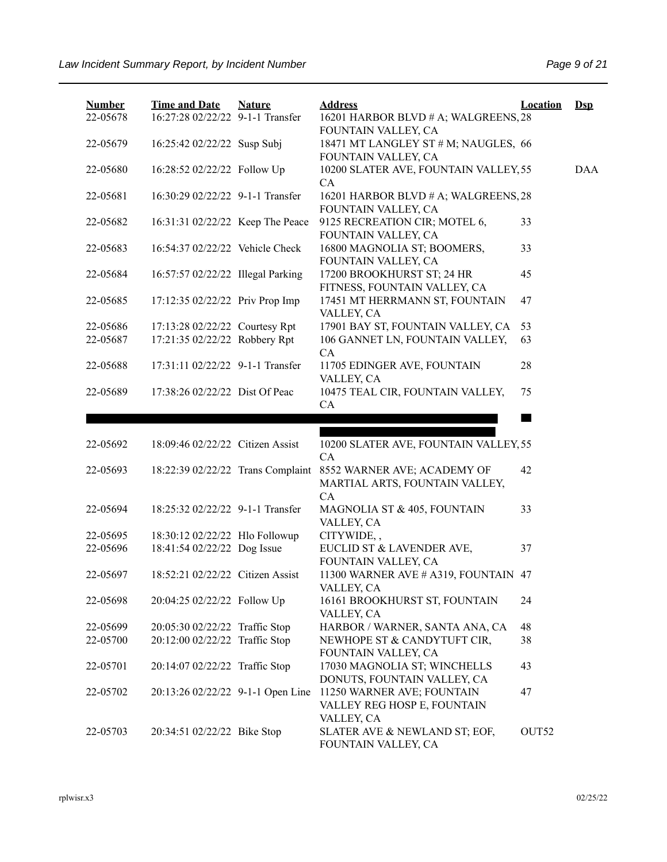| <b>Number</b><br>22-05678 | <b>Time and Date</b><br>16:27:28 02/22/22 9-1-1 Transfer | <b>Nature</b> | <b>Address</b><br>16201 HARBOR BLVD # A; WALGREENS, 28                  | <b>Location</b>   | $\mathbf{Dsp}$ |
|---------------------------|----------------------------------------------------------|---------------|-------------------------------------------------------------------------|-------------------|----------------|
|                           |                                                          |               | FOUNTAIN VALLEY, CA                                                     |                   |                |
| 22-05679                  | 16:25:42 02/22/22 Susp Subj                              |               | 18471 MT LANGLEY ST # M; NAUGLES, 66<br>FOUNTAIN VALLEY, CA             |                   |                |
| 22-05680                  | 16:28:52 02/22/22 Follow Up                              |               | 10200 SLATER AVE, FOUNTAIN VALLEY, 55<br>CA                             |                   | <b>DAA</b>     |
| 22-05681                  | 16:30:29 02/22/22 9-1-1 Transfer                         |               | 16201 HARBOR BLVD # A; WALGREENS, 28<br>FOUNTAIN VALLEY, CA             |                   |                |
| 22-05682                  | 16:31:31 02/22/22 Keep The Peace                         |               | 9125 RECREATION CIR; MOTEL 6,<br>FOUNTAIN VALLEY, CA                    | 33                |                |
| 22-05683                  | 16:54:37 02/22/22 Vehicle Check                          |               | 16800 MAGNOLIA ST; BOOMERS,<br>FOUNTAIN VALLEY, CA                      | 33                |                |
| 22-05684                  | 16:57:57 02/22/22 Illegal Parking                        |               | 17200 BROOKHURST ST; 24 HR<br>FITNESS, FOUNTAIN VALLEY, CA              | 45                |                |
| 22-05685                  | 17:12:35 02/22/22 Priv Prop Imp                          |               | 17451 MT HERRMANN ST, FOUNTAIN<br>VALLEY, CA                            | 47                |                |
| 22-05686                  | 17:13:28 02/22/22 Courtesy Rpt                           |               | 17901 BAY ST, FOUNTAIN VALLEY, CA                                       | 53                |                |
| 22-05687                  | 17:21:35 02/22/22 Robbery Rpt                            |               | 106 GANNET LN, FOUNTAIN VALLEY,<br>CA                                   | 63                |                |
| 22-05688                  | 17:31:11 02/22/22 9-1-1 Transfer                         |               | 11705 EDINGER AVE, FOUNTAIN<br>VALLEY, CA                               | 28                |                |
| 22-05689                  | 17:38:26 02/22/22 Dist Of Peac                           |               | 10475 TEAL CIR, FOUNTAIN VALLEY,<br>CA                                  | 75                |                |
|                           |                                                          |               |                                                                         |                   |                |
|                           |                                                          |               |                                                                         |                   |                |
| 22-05692                  | 18:09:46 02/22/22 Citizen Assist                         |               | 10200 SLATER AVE, FOUNTAIN VALLEY, 55<br>CA                             |                   |                |
| 22-05693                  | 18:22:39 02/22/22 Trans Complaint                        |               | 8552 WARNER AVE; ACADEMY OF<br>MARTIAL ARTS, FOUNTAIN VALLEY,<br>CA     | 42                |                |
| 22-05694                  | 18:25:32 02/22/22 9-1-1 Transfer                         |               | MAGNOLIA ST & 405, FOUNTAIN<br>VALLEY, CA                               | 33                |                |
| 22-05695                  | 18:30:12 02/22/22 Hlo Followup                           |               | CITYWIDE,,                                                              |                   |                |
| 22-05696                  | 18:41:54 02/22/22 Dog Issue                              |               | EUCLID ST & LAVENDER AVE,<br>FOUNTAIN VALLEY, CA                        | 37                |                |
| 22-05697                  | 18:52:21 02/22/22 Citizen Assist                         |               | 11300 WARNER AVE # A319, FOUNTAIN 47<br>VALLEY, CA                      |                   |                |
| 22-05698                  | 20:04:25 02/22/22 Follow Up                              |               | 16161 BROOKHURST ST, FOUNTAIN<br>VALLEY, CA                             | 24                |                |
| 22-05699                  | 20:05:30 02/22/22 Traffic Stop                           |               | HARBOR / WARNER, SANTA ANA, CA                                          | 48                |                |
| 22-05700                  | 20:12:00 02/22/22 Traffic Stop                           |               | NEWHOPE ST & CANDYTUFT CIR,<br>FOUNTAIN VALLEY, CA                      | 38                |                |
| 22-05701                  | 20:14:07 02/22/22 Traffic Stop                           |               | 17030 MAGNOLIA ST; WINCHELLS<br>DONUTS, FOUNTAIN VALLEY, CA             | 43                |                |
| 22-05702                  | 20:13:26 02/22/22 9-1-1 Open Line                        |               | 11250 WARNER AVE; FOUNTAIN<br>VALLEY REG HOSP E, FOUNTAIN<br>VALLEY, CA | 47                |                |
| 22-05703                  | 20:34:51 02/22/22 Bike Stop                              |               | SLATER AVE & NEWLAND ST; EOF,<br>FOUNTAIN VALLEY, CA                    | OUT <sub>52</sub> |                |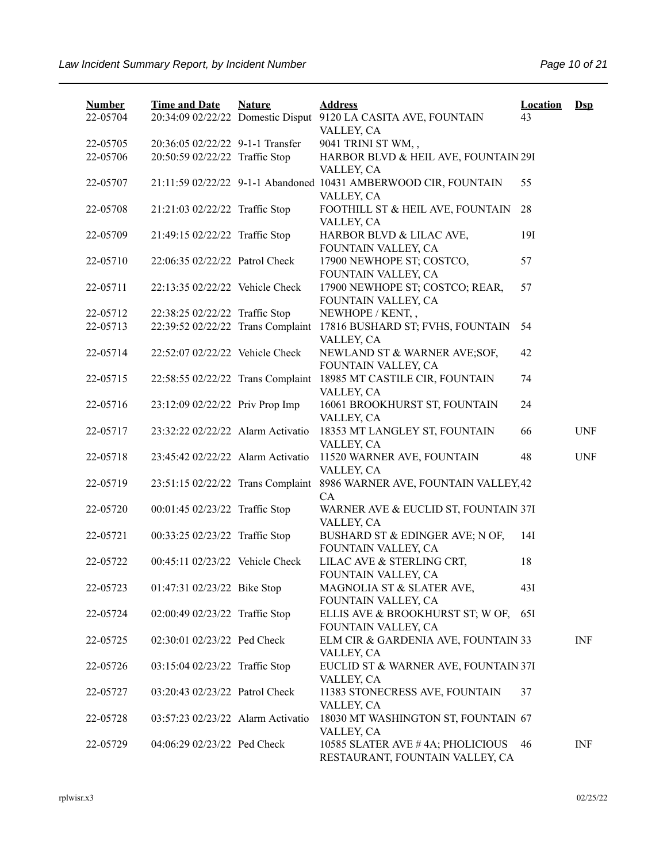| <b>Number</b><br>22-05704 | <b>Time and Date</b><br>20:34:09 02/22/22 Domestic Disput | <b>Nature</b> | <b>Address</b>                                                                | <b>Location</b><br>43 | $\mathbf{Dsp}$ |
|---------------------------|-----------------------------------------------------------|---------------|-------------------------------------------------------------------------------|-----------------------|----------------|
|                           |                                                           |               | 9120 LA CASITA AVE, FOUNTAIN<br>VALLEY, CA                                    |                       |                |
| 22-05705                  | 20:36:05 02/22/22 9-1-1 Transfer                          |               | 9041 TRINI ST WM,,                                                            |                       |                |
| 22-05706                  | 20:50:59 02/22/22 Traffic Stop                            |               | HARBOR BLVD & HEIL AVE, FOUNTAIN 29I<br>VALLEY, CA                            |                       |                |
| 22-05707                  |                                                           |               | 21:11:59 02/22/22 9-1-1 Abandoned 10431 AMBERWOOD CIR, FOUNTAIN<br>VALLEY, CA | 55                    |                |
| 22-05708                  | 21:21:03 02/22/22 Traffic Stop                            |               | FOOTHILL ST & HEIL AVE, FOUNTAIN<br>VALLEY, CA                                | 28                    |                |
| 22-05709                  | 21:49:15 02/22/22 Traffic Stop                            |               | HARBOR BLVD & LILAC AVE,<br>FOUNTAIN VALLEY, CA                               | 191                   |                |
| 22-05710                  | 22:06:35 02/22/22 Patrol Check                            |               | 17900 NEWHOPE ST; COSTCO,<br>FOUNTAIN VALLEY, CA                              | 57                    |                |
| 22-05711                  | 22:13:35 02/22/22 Vehicle Check                           |               | 17900 NEWHOPE ST; COSTCO; REAR,<br>FOUNTAIN VALLEY, CA                        | 57                    |                |
| 22-05712                  | 22:38:25 02/22/22 Traffic Stop                            |               | NEWHOPE / KENT,,                                                              |                       |                |
| 22-05713                  | 22:39:52 02/22/22 Trans Complaint                         |               | 17816 BUSHARD ST; FVHS, FOUNTAIN<br>VALLEY, CA                                | 54                    |                |
| 22-05714                  | 22:52:07 02/22/22 Vehicle Check                           |               | NEWLAND ST & WARNER AVE;SOF,<br>FOUNTAIN VALLEY, CA                           | 42                    |                |
| 22-05715                  | 22:58:55 02/22/22 Trans Complaint                         |               | 18985 MT CASTILE CIR, FOUNTAIN<br>VALLEY, CA                                  | 74                    |                |
| 22-05716                  | 23:12:09 02/22/22 Priv Prop Imp                           |               | 16061 BROOKHURST ST, FOUNTAIN<br>VALLEY, CA                                   | 24                    |                |
| 22-05717                  | 23:32:22 02/22/22 Alarm Activatio                         |               | 18353 MT LANGLEY ST, FOUNTAIN<br>VALLEY, CA                                   | 66                    | <b>UNF</b>     |
| 22-05718                  | 23:45:42 02/22/22 Alarm Activatio                         |               | 11520 WARNER AVE, FOUNTAIN<br>VALLEY, CA                                      | 48                    | <b>UNF</b>     |
| 22-05719                  | 23:51:15 02/22/22 Trans Complaint                         |               | 8986 WARNER AVE, FOUNTAIN VALLEY, 42<br>CA                                    |                       |                |
| 22-05720                  | 00:01:45 02/23/22 Traffic Stop                            |               | WARNER AVE & EUCLID ST, FOUNTAIN 37I<br>VALLEY, CA                            |                       |                |
| 22-05721                  | 00:33:25 02/23/22 Traffic Stop                            |               | BUSHARD ST & EDINGER AVE; N OF,<br>FOUNTAIN VALLEY, CA                        | 14I                   |                |
| 22-05722                  | 00:45:11 02/23/22 Vehicle Check                           |               | LILAC AVE & STERLING CRT,<br>FOUNTAIN VALLEY, CA                              | 18                    |                |
| 22-05723                  | 01:47:31 02/23/22 Bike Stop                               |               | MAGNOLIA ST & SLATER AVE,<br>FOUNTAIN VALLEY, CA                              | 43I                   |                |
| 22-05724                  | 02:00:49 02/23/22 Traffic Stop                            |               | ELLIS AVE & BROOKHURST ST; W OF,<br>FOUNTAIN VALLEY, CA                       | 65I                   |                |
| 22-05725                  | 02:30:01 02/23/22 Ped Check                               |               | ELM CIR & GARDENIA AVE, FOUNTAIN 33<br>VALLEY, CA                             |                       | INF            |
| 22-05726                  | 03:15:04 02/23/22 Traffic Stop                            |               | EUCLID ST & WARNER AVE, FOUNTAIN 37I<br>VALLEY, CA                            |                       |                |
| 22-05727                  | 03:20:43 02/23/22 Patrol Check                            |               | 11383 STONECRESS AVE, FOUNTAIN<br>VALLEY, CA                                  | 37                    |                |
| 22-05728                  | 03:57:23 02/23/22 Alarm Activatio                         |               | 18030 MT WASHINGTON ST, FOUNTAIN 67<br>VALLEY, CA                             |                       |                |
| 22-05729                  | 04:06:29 02/23/22 Ped Check                               |               | 10585 SLATER AVE #4A; PHOLICIOUS<br>RESTAURANT, FOUNTAIN VALLEY, CA           | 46                    | <b>INF</b>     |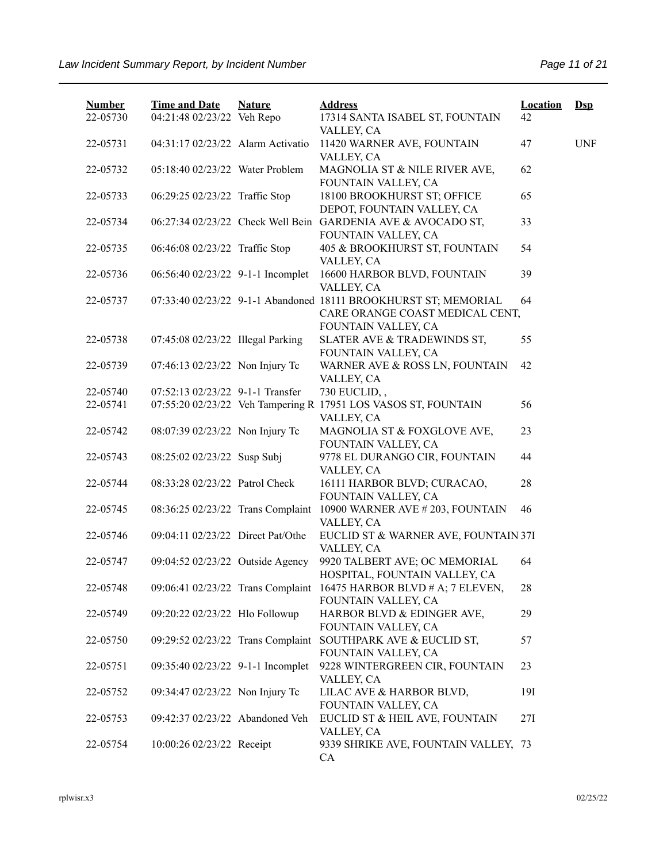| <b>Number</b><br>22-05730 | <b>Time and Date</b><br>04:21:48 02/23/22 Veh Repo | <b>Nature</b> | <b>Address</b><br>17314 SANTA ISABEL ST, FOUNTAIN                                                                         | <b>Location</b><br>42 | $\mathbf{Dsp}$ |
|---------------------------|----------------------------------------------------|---------------|---------------------------------------------------------------------------------------------------------------------------|-----------------------|----------------|
| 22-05731                  | 04:31:17 02/23/22 Alarm Activatio                  |               | VALLEY, CA<br>11420 WARNER AVE, FOUNTAIN<br>VALLEY, CA                                                                    | 47                    | <b>UNF</b>     |
| 22-05732                  | 05:18:40 02/23/22 Water Problem                    |               | MAGNOLIA ST & NILE RIVER AVE,<br>FOUNTAIN VALLEY, CA                                                                      | 62                    |                |
| 22-05733                  | 06:29:25 02/23/22 Traffic Stop                     |               | 18100 BROOKHURST ST; OFFICE<br>DEPOT, FOUNTAIN VALLEY, CA                                                                 | 65                    |                |
| 22-05734                  |                                                    |               | 06:27:34 02/23/22 Check Well Bein GARDENIA AVE & AVOCADO ST,<br>FOUNTAIN VALLEY, CA                                       | 33                    |                |
| 22-05735                  | 06:46:08 02/23/22 Traffic Stop                     |               | 405 & BROOKHURST ST, FOUNTAIN<br>VALLEY, CA                                                                               | 54                    |                |
| 22-05736                  | 06:56:40 02/23/22 9-1-1 Incomplet                  |               | 16600 HARBOR BLVD, FOUNTAIN<br>VALLEY, CA                                                                                 | 39                    |                |
| 22-05737                  |                                                    |               | 07:33:40 02/23/22 9-1-1 Abandoned 18111 BROOKHURST ST; MEMORIAL<br>CARE ORANGE COAST MEDICAL CENT,<br>FOUNTAIN VALLEY, CA | 64                    |                |
| 22-05738                  | 07:45:08 02/23/22 Illegal Parking                  |               | SLATER AVE & TRADEWINDS ST,<br>FOUNTAIN VALLEY, CA                                                                        | 55                    |                |
| 22-05739                  | 07:46:13 02/23/22 Non Injury Tc                    |               | WARNER AVE & ROSS LN, FOUNTAIN<br>VALLEY, CA                                                                              | 42                    |                |
| 22-05740                  | 07:52:13 02/23/22 9-1-1 Transfer                   |               | 730 EUCLID,,                                                                                                              |                       |                |
| 22-05741                  |                                                    |               | 07:55:20 02/23/22 Veh Tampering R 17951 LOS VASOS ST, FOUNTAIN                                                            | 56                    |                |
| 22-05742                  | 08:07:39 02/23/22 Non Injury Tc                    |               | VALLEY, CA<br>MAGNOLIA ST & FOXGLOVE AVE,<br>FOUNTAIN VALLEY, CA                                                          | 23                    |                |
| 22-05743                  | 08:25:02 02/23/22 Susp Subj                        |               | 9778 EL DURANGO CIR, FOUNTAIN<br>VALLEY, CA                                                                               | 44                    |                |
| 22-05744                  | 08:33:28 02/23/22 Patrol Check                     |               | 16111 HARBOR BLVD; CURACAO,<br>FOUNTAIN VALLEY, CA                                                                        | 28                    |                |
| 22-05745                  | 08:36:25 02/23/22 Trans Complaint                  |               | 10900 WARNER AVE #203, FOUNTAIN<br>VALLEY, CA                                                                             | 46                    |                |
| 22-05746                  | 09:04:11 02/23/22 Direct Pat/Othe                  |               | EUCLID ST & WARNER AVE, FOUNTAIN 37I<br>VALLEY, CA                                                                        |                       |                |
| 22-05747                  | 09:04:52 02/23/22 Outside Agency                   |               | 9920 TALBERT AVE; OC MEMORIAL<br>HOSPITAL, FOUNTAIN VALLEY, CA                                                            | 64                    |                |
| 22-05748                  |                                                    |               | 09:06:41 02/23/22 Trans Complaint 16475 HARBOR BLVD # A; 7 ELEVEN,<br>FOUNTAIN VALLEY, CA                                 | 28                    |                |
| 22-05749                  | 09:20:22 02/23/22 Hlo Followup                     |               | HARBOR BLVD & EDINGER AVE,<br>FOUNTAIN VALLEY, CA                                                                         | 29                    |                |
| 22-05750                  |                                                    |               | 09:29:52 02/23/22 Trans Complaint SOUTHPARK AVE & EUCLID ST,<br>FOUNTAIN VALLEY, CA                                       | 57                    |                |
| 22-05751                  | 09:35:40 02/23/22 9-1-1 Incomplet                  |               | 9228 WINTERGREEN CIR, FOUNTAIN<br>VALLEY, CA                                                                              | 23                    |                |
| 22-05752                  | 09:34:47 02/23/22 Non Injury Tc                    |               | LILAC AVE & HARBOR BLVD,<br>FOUNTAIN VALLEY, CA                                                                           | 191                   |                |
| 22-05753                  | 09:42:37 02/23/22 Abandoned Veh                    |               | EUCLID ST & HEIL AVE, FOUNTAIN<br>VALLEY, CA                                                                              | 27I                   |                |
| 22-05754                  | 10:00:26 02/23/22 Receipt                          |               | 9339 SHRIKE AVE, FOUNTAIN VALLEY, 73<br>CA                                                                                |                       |                |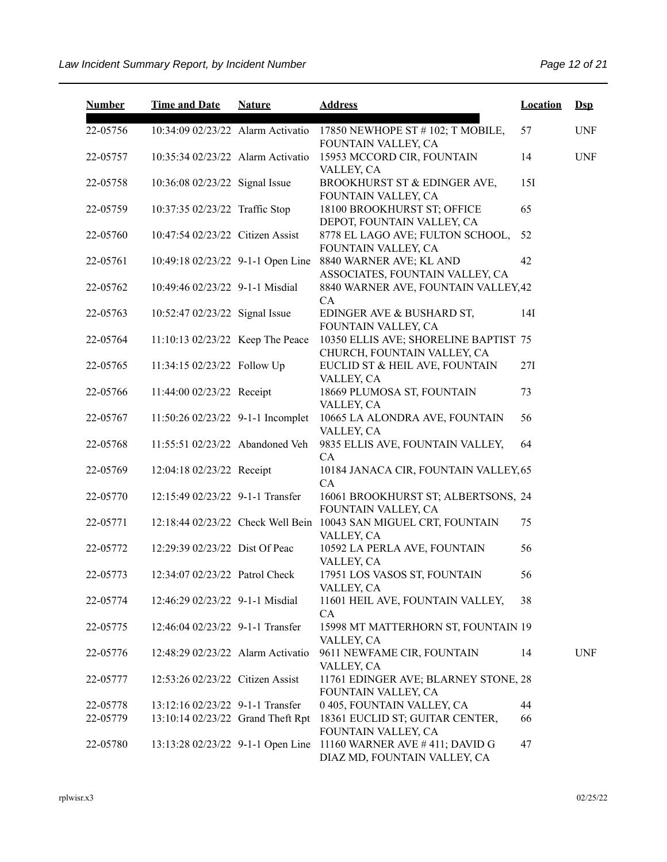| <b>Number</b> | <b>Time and Date</b>              | <b>Nature</b> | <b>Address</b>                                                                 | <b>Location</b> | $Ds$       |
|---------------|-----------------------------------|---------------|--------------------------------------------------------------------------------|-----------------|------------|
| 22-05756      | 10:34:09 02/23/22 Alarm Activatio |               | 17850 NEWHOPE ST # 102; T MOBILE,<br>FOUNTAIN VALLEY, CA                       | 57              | <b>UNF</b> |
| 22-05757      | 10:35:34 02/23/22 Alarm Activatio |               | 15953 MCCORD CIR, FOUNTAIN<br>VALLEY, CA                                       | 14              | <b>UNF</b> |
| 22-05758      | 10:36:08 02/23/22 Signal Issue    |               | BROOKHURST ST & EDINGER AVE,<br>FOUNTAIN VALLEY, CA                            | 15I             |            |
| 22-05759      | 10:37:35 02/23/22 Traffic Stop    |               | 18100 BROOKHURST ST; OFFICE<br>DEPOT, FOUNTAIN VALLEY, CA                      | 65              |            |
| 22-05760      | 10:47:54 02/23/22 Citizen Assist  |               | 8778 EL LAGO AVE; FULTON SCHOOL,<br>FOUNTAIN VALLEY, CA                        | 52              |            |
| 22-05761      | 10:49:18 02/23/22 9-1-1 Open Line |               | 8840 WARNER AVE; KL AND<br>ASSOCIATES, FOUNTAIN VALLEY, CA                     | 42              |            |
| 22-05762      | 10:49:46 02/23/22 9-1-1 Misdial   |               | 8840 WARNER AVE, FOUNTAIN VALLEY, 42<br>CA                                     |                 |            |
| 22-05763      | 10:52:47 02/23/22 Signal Issue    |               | EDINGER AVE & BUSHARD ST,<br>FOUNTAIN VALLEY, CA                               | 14I             |            |
| 22-05764      | 11:10:13 02/23/22 Keep The Peace  |               | 10350 ELLIS AVE; SHORELINE BAPTIST 75<br>CHURCH, FOUNTAIN VALLEY, CA           |                 |            |
| 22-05765      | 11:34:15 02/23/22 Follow Up       |               | EUCLID ST & HEIL AVE, FOUNTAIN<br>VALLEY, CA                                   | 27I             |            |
| 22-05766      | 11:44:00 02/23/22 Receipt         |               | 18669 PLUMOSA ST, FOUNTAIN<br>VALLEY, CA                                       | 73              |            |
| 22-05767      | 11:50:26 02/23/22 9-1-1 Incomplet |               | 10665 LA ALONDRA AVE, FOUNTAIN<br>VALLEY, CA                                   | 56              |            |
| 22-05768      | 11:55:51 02/23/22 Abandoned Veh   |               | 9835 ELLIS AVE, FOUNTAIN VALLEY,<br>CA                                         | 64              |            |
| 22-05769      | 12:04:18 02/23/22 Receipt         |               | 10184 JANACA CIR, FOUNTAIN VALLEY, 65<br>CA                                    |                 |            |
| 22-05770      | 12:15:49 02/23/22 9-1-1 Transfer  |               | 16061 BROOKHURST ST; ALBERTSONS, 24<br>FOUNTAIN VALLEY, CA                     |                 |            |
| 22-05771      |                                   |               | 12:18:44 02/23/22 Check Well Bein 10043 SAN MIGUEL CRT, FOUNTAIN<br>VALLEY, CA | 75              |            |
| 22-05772      | 12:29:39 02/23/22 Dist Of Peac    |               | 10592 LA PERLA AVE, FOUNTAIN<br>VALLEY, CA                                     | 56              |            |
| 22-05773      | 12:34:07 02/23/22 Patrol Check    |               | 17951 LOS VASOS ST, FOUNTAIN<br>VALLEY, CA                                     | 56              |            |
| 22-05774      | 12:46:29 02/23/22 9-1-1 Misdial   |               | 11601 HEIL AVE, FOUNTAIN VALLEY,<br>CA                                         | 38              |            |
| 22-05775      | 12:46:04 02/23/22 9-1-1 Transfer  |               | 15998 MT MATTERHORN ST, FOUNTAIN 19<br>VALLEY, CA                              |                 |            |
| 22-05776      | 12:48:29 02/23/22 Alarm Activatio |               | 9611 NEWFAME CIR, FOUNTAIN<br>VALLEY, CA                                       | 14              | <b>UNF</b> |
| 22-05777      | 12:53:26 02/23/22 Citizen Assist  |               | 11761 EDINGER AVE; BLARNEY STONE, 28<br>FOUNTAIN VALLEY, CA                    |                 |            |
| 22-05778      | 13:12:16 02/23/22 9-1-1 Transfer  |               | 0 405, FOUNTAIN VALLEY, CA                                                     | 44              |            |
| 22-05779      | 13:10:14 02/23/22 Grand Theft Rpt |               | 18361 EUCLID ST; GUITAR CENTER,<br>FOUNTAIN VALLEY, CA                         | 66              |            |
| 22-05780      | 13:13:28 02/23/22 9-1-1 Open Line |               | 11160 WARNER AVE $\#$ 411; DAVID G<br>DIAZ MD, FOUNTAIN VALLEY, CA             | 47              |            |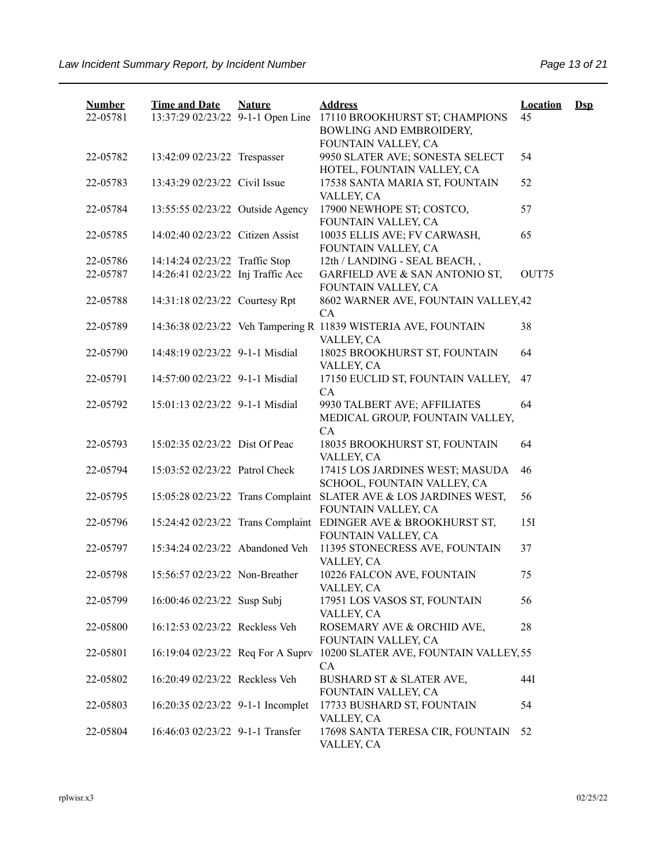| <b>Number</b><br>22-05781 | <b>Time and Date</b><br>13:37:29 02/23/22 9-1-1 Open Line | <b>Nature</b> | <b>Address</b><br>17110 BROOKHURST ST; CHAMPIONS                                      | <b>Location</b><br>45 | $\mathbf{Dsp}$ |
|---------------------------|-----------------------------------------------------------|---------------|---------------------------------------------------------------------------------------|-----------------------|----------------|
|                           |                                                           |               | BOWLING AND EMBROIDERY,<br>FOUNTAIN VALLEY, CA                                        |                       |                |
| 22-05782                  | 13:42:09 02/23/22 Trespasser                              |               | 9950 SLATER AVE; SONESTA SELECT<br>HOTEL, FOUNTAIN VALLEY, CA                         | 54                    |                |
| 22-05783                  | 13:43:29 02/23/22 Civil Issue                             |               | 17538 SANTA MARIA ST, FOUNTAIN<br>VALLEY, CA                                          | 52                    |                |
| 22-05784                  | 13:55:55 02/23/22 Outside Agency                          |               | 17900 NEWHOPE ST; COSTCO,<br>FOUNTAIN VALLEY, CA                                      | 57                    |                |
| 22-05785                  | 14:02:40 02/23/22 Citizen Assist                          |               | 10035 ELLIS AVE; FV CARWASH,<br>FOUNTAIN VALLEY, CA                                   | 65                    |                |
| 22-05786                  | 14:14:24 02/23/22 Traffic Stop                            |               | 12th / LANDING - SEAL BEACH,,                                                         |                       |                |
| 22-05787                  | 14:26:41 02/23/22 Inj Traffic Acc                         |               | GARFIELD AVE & SAN ANTONIO ST,<br>FOUNTAIN VALLEY, CA                                 | OUT75                 |                |
| 22-05788                  | 14:31:18 02/23/22 Courtesy Rpt                            |               | 8602 WARNER AVE, FOUNTAIN VALLEY, 42<br>CA                                            |                       |                |
| 22-05789                  |                                                           |               | 14:36:38 02/23/22 Veh Tampering R 11839 WISTERIA AVE, FOUNTAIN<br>VALLEY, CA          | 38                    |                |
| 22-05790                  | 14:48:19 02/23/22 9-1-1 Misdial                           |               | 18025 BROOKHURST ST, FOUNTAIN<br>VALLEY, CA                                           | 64                    |                |
| 22-05791                  | 14:57:00 02/23/22 9-1-1 Misdial                           |               | 17150 EUCLID ST, FOUNTAIN VALLEY,<br>CA                                               | 47                    |                |
| 22-05792                  | 15:01:13 02/23/22 9-1-1 Misdial                           |               | 9930 TALBERT AVE; AFFILIATES<br>MEDICAL GROUP, FOUNTAIN VALLEY,<br><b>CA</b>          | 64                    |                |
| 22-05793                  | 15:02:35 02/23/22 Dist Of Peac                            |               | 18035 BROOKHURST ST, FOUNTAIN<br>VALLEY, CA                                           | 64                    |                |
| 22-05794                  | 15:03:52 02/23/22 Patrol Check                            |               | 17415 LOS JARDINES WEST; MASUDA<br>SCHOOL, FOUNTAIN VALLEY, CA                        | 46                    |                |
| 22-05795                  | 15:05:28 02/23/22 Trans Complaint                         |               | SLATER AVE & LOS JARDINES WEST,<br>FOUNTAIN VALLEY, CA                                | 56                    |                |
| 22-05796                  |                                                           |               | 15:24:42 02/23/22 Trans Complaint EDINGER AVE & BROOKHURST ST,<br>FOUNTAIN VALLEY, CA | 15I                   |                |
| 22-05797                  | 15:34:24 02/23/22 Abandoned Veh                           |               | 11395 STONECRESS AVE, FOUNTAIN<br>VALLEY, CA                                          | 37                    |                |
| 22-05798                  | 15:56:57 02/23/22 Non-Breather                            |               | 10226 FALCON AVE, FOUNTAIN<br>VALLEY, CA                                              | 75                    |                |
| 22-05799                  | 16:00:46 02/23/22 Susp Subj                               |               | 17951 LOS VASOS ST, FOUNTAIN<br>VALLEY, CA                                            | 56                    |                |
| 22-05800                  | 16:12:53 02/23/22 Reckless Veh                            |               | ROSEMARY AVE & ORCHID AVE,<br>FOUNTAIN VALLEY, CA                                     | 28                    |                |
| 22-05801                  | 16:19:04 02/23/22 Req For A Suprv                         |               | 10200 SLATER AVE, FOUNTAIN VALLEY, 55<br><b>CA</b>                                    |                       |                |
| 22-05802                  | 16:20:49 02/23/22 Reckless Veh                            |               | BUSHARD ST & SLATER AVE,<br>FOUNTAIN VALLEY, CA                                       | 44I                   |                |
| 22-05803                  | 16:20:35 02/23/22 9-1-1 Incomplet                         |               | 17733 BUSHARD ST, FOUNTAIN<br>VALLEY, CA                                              | 54                    |                |
| 22-05804                  | 16:46:03 02/23/22 9-1-1 Transfer                          |               | 17698 SANTA TERESA CIR, FOUNTAIN<br>VALLEY, CA                                        | 52                    |                |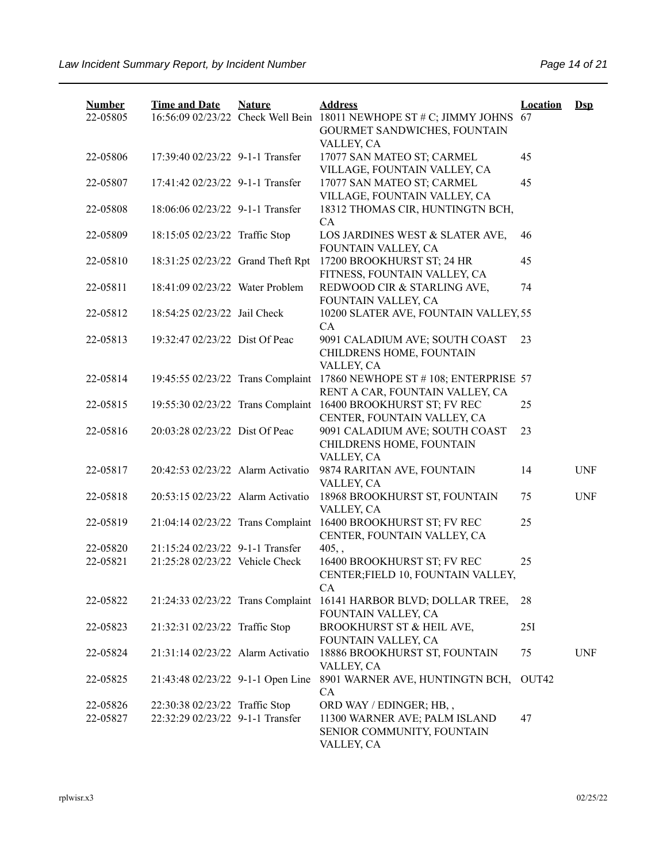| <b>Number</b> | <b>Time and Date</b>              | <b>Nature</b> | <b>Address</b>                                                      | <b>Location</b>   | $Ds$       |
|---------------|-----------------------------------|---------------|---------------------------------------------------------------------|-------------------|------------|
| 22-05805      |                                   |               | 16:56:09 02/23/22 Check Well Bein 18011 NEWHOPE ST # C; JIMMY JOHNS | 67                |            |
|               |                                   |               | GOURMET SANDWICHES, FOUNTAIN<br>VALLEY, CA                          |                   |            |
| 22-05806      | 17:39:40 02/23/22 9-1-1 Transfer  |               | 17077 SAN MATEO ST; CARMEL                                          | 45                |            |
|               |                                   |               | VILLAGE, FOUNTAIN VALLEY, CA                                        |                   |            |
| 22-05807      | 17:41:42 02/23/22 9-1-1 Transfer  |               | 17077 SAN MATEO ST; CARMEL                                          | 45                |            |
|               |                                   |               | VILLAGE, FOUNTAIN VALLEY, CA                                        |                   |            |
| 22-05808      | 18:06:06 02/23/22 9-1-1 Transfer  |               | 18312 THOMAS CIR, HUNTINGTN BCH,                                    |                   |            |
|               |                                   |               | CA                                                                  |                   |            |
| 22-05809      | 18:15:05 02/23/22 Traffic Stop    |               | LOS JARDINES WEST & SLATER AVE,                                     | 46                |            |
|               |                                   |               | FOUNTAIN VALLEY, CA                                                 |                   |            |
| 22-05810      | 18:31:25 02/23/22 Grand Theft Rpt |               | 17200 BROOKHURST ST; 24 HR<br>FITNESS, FOUNTAIN VALLEY, CA          | 45                |            |
| 22-05811      | 18:41:09 02/23/22 Water Problem   |               | REDWOOD CIR & STARLING AVE,                                         | 74                |            |
|               |                                   |               | FOUNTAIN VALLEY, CA                                                 |                   |            |
| 22-05812      | 18:54:25 02/23/22 Jail Check      |               | 10200 SLATER AVE, FOUNTAIN VALLEY, 55                               |                   |            |
|               |                                   |               | CA                                                                  |                   |            |
| 22-05813      | 19:32:47 02/23/22 Dist Of Peac    |               | 9091 CALADIUM AVE; SOUTH COAST                                      | 23                |            |
|               |                                   |               | CHILDRENS HOME, FOUNTAIN                                            |                   |            |
|               |                                   |               | VALLEY, CA                                                          |                   |            |
| 22-05814      | 19:45:55 02/23/22 Trans Complaint |               | 17860 NEWHOPE ST #108; ENTERPRISE 57                                |                   |            |
| 22-05815      | 19:55:30 02/23/22 Trans Complaint |               | RENT A CAR, FOUNTAIN VALLEY, CA<br>16400 BROOKHURST ST; FV REC      | 25                |            |
|               |                                   |               | CENTER, FOUNTAIN VALLEY, CA                                         |                   |            |
| 22-05816      | 20:03:28 02/23/22 Dist Of Peac    |               | 9091 CALADIUM AVE; SOUTH COAST                                      | 23                |            |
|               |                                   |               | CHILDRENS HOME, FOUNTAIN                                            |                   |            |
|               |                                   |               | VALLEY, CA                                                          |                   |            |
| 22-05817      | 20:42:53 02/23/22 Alarm Activatio |               | 9874 RARITAN AVE, FOUNTAIN                                          | 14                | <b>UNF</b> |
|               |                                   |               | VALLEY, CA                                                          |                   |            |
| 22-05818      | 20:53:15 02/23/22 Alarm Activatio |               | 18968 BROOKHURST ST, FOUNTAIN                                       | 75                | <b>UNF</b> |
|               |                                   |               | VALLEY, CA                                                          |                   |            |
| 22-05819      | 21:04:14 02/23/22 Trans Complaint |               | 16400 BROOKHURST ST; FV REC<br>CENTER, FOUNTAIN VALLEY, CA          | 25                |            |
| 22-05820      | 21:15:24 02/23/22 9-1-1 Transfer  |               | $405,$ ,                                                            |                   |            |
| 22-05821      | 21:25:28 02/23/22 Vehicle Check   |               | 16400 BROOKHURST ST; FV REC                                         | 25                |            |
|               |                                   |               | CENTER;FIELD 10, FOUNTAIN VALLEY,                                   |                   |            |
|               |                                   |               | CA                                                                  |                   |            |
| 22-05822      | 21:24:33 02/23/22 Trans Complaint |               | 16141 HARBOR BLVD; DOLLAR TREE,                                     | 28                |            |
|               |                                   |               | FOUNTAIN VALLEY, CA                                                 |                   |            |
| 22-05823      | 21:32:31 02/23/22 Traffic Stop    |               | BROOKHURST ST & HEIL AVE,                                           | 25I               |            |
| 22-05824      | 21:31:14 02/23/22 Alarm Activatio |               | FOUNTAIN VALLEY, CA<br>18886 BROOKHURST ST, FOUNTAIN                | 75                | <b>UNF</b> |
|               |                                   |               | VALLEY, CA                                                          |                   |            |
| 22-05825      | 21:43:48 02/23/22 9-1-1 Open Line |               | 8901 WARNER AVE, HUNTINGTN BCH,                                     | OUT <sub>42</sub> |            |
|               |                                   |               | CA                                                                  |                   |            |
| 22-05826      | 22:30:38 02/23/22 Traffic Stop    |               | ORD WAY / EDINGER; HB,,                                             |                   |            |
| 22-05827      | 22:32:29 02/23/22 9-1-1 Transfer  |               | 11300 WARNER AVE; PALM ISLAND                                       | 47                |            |
|               |                                   |               | SENIOR COMMUNITY, FOUNTAIN                                          |                   |            |
|               |                                   |               | VALLEY, CA                                                          |                   |            |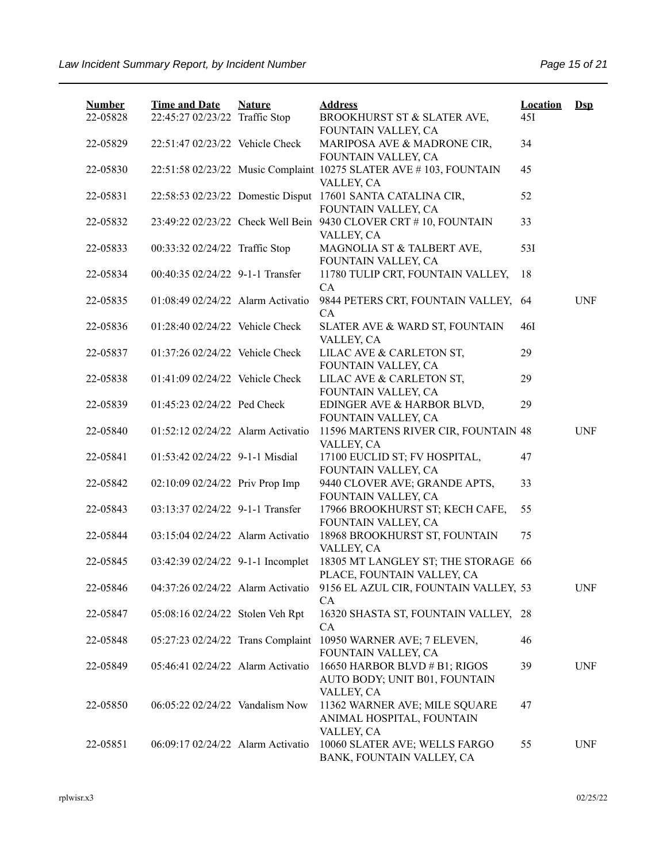| <b>Number</b><br>22-05828 | <b>Time and Date</b><br>22:45:27 02/23/22 Traffic Stop | <b>Nature</b> | <b>Address</b><br>BROOKHURST ST & SLATER AVE,                                          | <b>Location</b><br>45I | $Ds$       |
|---------------------------|--------------------------------------------------------|---------------|----------------------------------------------------------------------------------------|------------------------|------------|
| 22-05829                  | 22:51:47 02/23/22 Vehicle Check                        |               | FOUNTAIN VALLEY, CA<br>MARIPOSA AVE & MADRONE CIR,<br>FOUNTAIN VALLEY, CA              | 34                     |            |
| 22-05830                  |                                                        |               | 22:51:58 02/23/22 Music Complaint 10275 SLATER AVE #103, FOUNTAIN<br>VALLEY, CA        | 45                     |            |
| 22-05831                  |                                                        |               | 22:58:53 02/23/22 Domestic Disput 17601 SANTA CATALINA CIR,<br>FOUNTAIN VALLEY, CA     | 52                     |            |
| 22-05832                  |                                                        |               | 23:49:22 02/23/22 Check Well Bein 9430 CLOVER CRT # 10, FOUNTAIN<br>VALLEY, CA         | 33                     |            |
| 22-05833                  | 00:33:32 02/24/22 Traffic Stop                         |               | MAGNOLIA ST & TALBERT AVE,<br>FOUNTAIN VALLEY, CA                                      | 531                    |            |
| 22-05834                  | 00:40:35 02/24/22 9-1-1 Transfer                       |               | 11780 TULIP CRT, FOUNTAIN VALLEY,<br>CA                                                | 18                     |            |
| 22-05835                  | 01:08:49 02/24/22 Alarm Activatio                      |               | 9844 PETERS CRT, FOUNTAIN VALLEY, 64<br>CA                                             |                        | <b>UNF</b> |
| 22-05836                  | 01:28:40 02/24/22 Vehicle Check                        |               | SLATER AVE & WARD ST, FOUNTAIN<br>VALLEY, CA                                           | 46I                    |            |
| 22-05837                  | 01:37:26 02/24/22 Vehicle Check                        |               | LILAC AVE & CARLETON ST,<br>FOUNTAIN VALLEY, CA                                        | 29                     |            |
| 22-05838                  | 01:41:09 02/24/22 Vehicle Check                        |               | LILAC AVE & CARLETON ST,<br>FOUNTAIN VALLEY, CA                                        | 29                     |            |
| 22-05839                  | 01:45:23 02/24/22 Ped Check                            |               | EDINGER AVE & HARBOR BLVD,<br>FOUNTAIN VALLEY, CA                                      | 29                     |            |
| 22-05840                  | 01:52:12 02/24/22 Alarm Activatio                      |               | 11596 MARTENS RIVER CIR, FOUNTAIN 48<br>VALLEY, CA                                     |                        | <b>UNF</b> |
| 22-05841                  | 01:53:42 02/24/22 9-1-1 Misdial                        |               | 17100 EUCLID ST; FV HOSPITAL,<br>FOUNTAIN VALLEY, CA                                   | 47                     |            |
| 22-05842                  | 02:10:09 02/24/22 Priv Prop Imp                        |               | 9440 CLOVER AVE; GRANDE APTS,<br>FOUNTAIN VALLEY, CA                                   | 33                     |            |
| 22-05843                  | 03:13:37 02/24/22 9-1-1 Transfer                       |               | 17966 BROOKHURST ST; KECH CAFE,<br>FOUNTAIN VALLEY, CA                                 | 55                     |            |
| 22-05844                  | 03:15:04 02/24/22 Alarm Activatio                      |               | 18968 BROOKHURST ST, FOUNTAIN<br>VALLEY, CA                                            | 75                     |            |
| 22-05845                  | 03:42:39 02/24/22 9-1-1 Incomplet                      |               | 18305 MT LANGLEY ST; THE STORAGE 66<br>PLACE, FOUNTAIN VALLEY, CA                      |                        |            |
| 22-05846                  |                                                        |               | 04:37:26 02/24/22 Alarm Activatio 9156 EL AZUL CIR, FOUNTAIN VALLEY, 53<br>CA          |                        | <b>UNF</b> |
| 22-05847                  | 05:08:16 02/24/22 Stolen Veh Rpt                       |               | 16320 SHASTA ST, FOUNTAIN VALLEY, 28<br>CA                                             |                        |            |
| 22-05848                  |                                                        |               | 05:27:23 02/24/22 Trans Complaint 10950 WARNER AVE; 7 ELEVEN,<br>FOUNTAIN VALLEY, CA   | 46                     |            |
| 22-05849                  | 05:46:41 02/24/22 Alarm Activatio                      |               | 16650 HARBOR BLVD # B1; RIGOS<br>AUTO BODY; UNIT B01, FOUNTAIN                         | 39                     | <b>UNF</b> |
| 22-05850                  | 06:05:22 02/24/22 Vandalism Now                        |               | VALLEY, CA<br>11362 WARNER AVE; MILE SQUARE<br>ANIMAL HOSPITAL, FOUNTAIN<br>VALLEY, CA | 47                     |            |
| 22-05851                  | 06:09:17 02/24/22 Alarm Activatio                      |               | 10060 SLATER AVE; WELLS FARGO<br>BANK, FOUNTAIN VALLEY, CA                             | 55                     | <b>UNF</b> |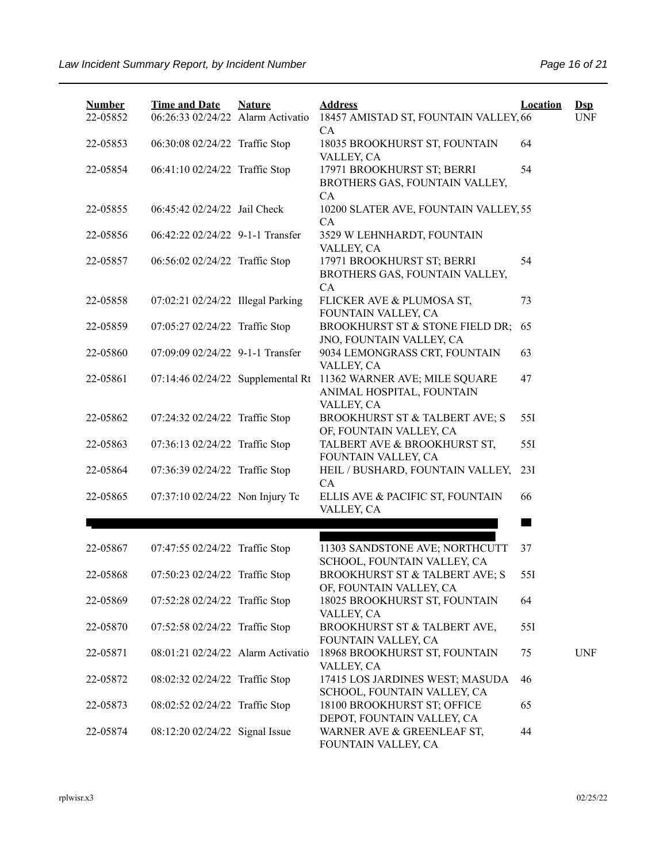| <b>Number</b> | <b>Time and Date</b>              | <b>Nature</b> | <b>Address</b>                                                           | <b>Location</b> | $\mathbf{Dsp}$ |
|---------------|-----------------------------------|---------------|--------------------------------------------------------------------------|-----------------|----------------|
| 22-05852      | 06:26:33 02/24/22 Alarm Activatio |               | 18457 AMISTAD ST, FOUNTAIN VALLEY, 66<br><b>CA</b>                       |                 | <b>UNF</b>     |
| 22-05853      | 06:30:08 02/24/22 Traffic Stop    |               | 18035 BROOKHURST ST, FOUNTAIN<br>VALLEY, CA                              | 64              |                |
| 22-05854      | 06:41:10 02/24/22 Traffic Stop    |               | 17971 BROOKHURST ST; BERRI<br>BROTHERS GAS, FOUNTAIN VALLEY,<br>CA       | 54              |                |
| 22-05855      | 06:45:42 02/24/22 Jail Check      |               | 10200 SLATER AVE, FOUNTAIN VALLEY, 55<br><b>CA</b>                       |                 |                |
| 22-05856      | 06:42:22 02/24/22 9-1-1 Transfer  |               | 3529 W LEHNHARDT, FOUNTAIN<br>VALLEY, CA                                 |                 |                |
| 22-05857      | 06:56:02 02/24/22 Traffic Stop    |               | 17971 BROOKHURST ST; BERRI<br>BROTHERS GAS, FOUNTAIN VALLEY,<br>CA       | 54              |                |
| 22-05858      | 07:02:21 02/24/22 Illegal Parking |               | FLICKER AVE & PLUMOSA ST,<br>FOUNTAIN VALLEY, CA                         | 73              |                |
| 22-05859      | 07:05:27 02/24/22 Traffic Stop    |               | BROOKHURST ST & STONE FIELD DR;<br>JNO, FOUNTAIN VALLEY, CA              | 65              |                |
| 22-05860      | 07:09:09 02/24/22 9-1-1 Transfer  |               | 9034 LEMONGRASS CRT, FOUNTAIN<br>VALLEY, CA                              | 63              |                |
| 22-05861      | 07:14:46 02/24/22 Supplemental Rt |               | 11362 WARNER AVE; MILE SQUARE<br>ANIMAL HOSPITAL, FOUNTAIN<br>VALLEY, CA | 47              |                |
| 22-05862      | 07:24:32 02/24/22 Traffic Stop    |               | BROOKHURST ST & TALBERT AVE; S<br>OF, FOUNTAIN VALLEY, CA                | 55I             |                |
| 22-05863      | 07:36:13 02/24/22 Traffic Stop    |               | TALBERT AVE & BROOKHURST ST,<br>FOUNTAIN VALLEY, CA                      | 55I             |                |
| 22-05864      | 07:36:39 02/24/22 Traffic Stop    |               | HEIL / BUSHARD, FOUNTAIN VALLEY,<br>CA                                   | 23I             |                |
| 22-05865      | 07:37:10 02/24/22 Non Injury Tc   |               | ELLIS AVE & PACIFIC ST, FOUNTAIN<br>VALLEY, CA                           | 66              |                |
|               |                                   |               |                                                                          |                 |                |
| 22-05867      | 07:47:55 02/24/22 Traffic Stop    |               | 11303 SANDSTONE AVE; NORTHCUTT<br>SCHOOL, FOUNTAIN VALLEY, CA            | 37              |                |
| 22-05868      | 07:50:23 02/24/22 Traffic Stop    |               | <b>BROOKHURST ST &amp; TALBERT AVE; S</b><br>OF, FOUNTAIN VALLEY, CA     | 551             |                |
| 22-05869      | 07:52:28 02/24/22 Traffic Stop    |               | 18025 BROOKHURST ST, FOUNTAIN<br>VALLEY, CA                              | 64              |                |
| 22-05870      | 07:52:58 02/24/22 Traffic Stop    |               | BROOKHURST ST & TALBERT AVE,<br>FOUNTAIN VALLEY, CA                      | 55I             |                |
| 22-05871      | 08:01:21 02/24/22 Alarm Activatio |               | 18968 BROOKHURST ST, FOUNTAIN<br>VALLEY, CA                              | 75              | <b>UNF</b>     |
| 22-05872      | 08:02:32 02/24/22 Traffic Stop    |               | 17415 LOS JARDINES WEST; MASUDA<br>SCHOOL, FOUNTAIN VALLEY, CA           | 46              |                |
| 22-05873      | 08:02:52 02/24/22 Traffic Stop    |               | 18100 BROOKHURST ST; OFFICE<br>DEPOT, FOUNTAIN VALLEY, CA                | 65              |                |
| 22-05874      | 08:12:20 02/24/22 Signal Issue    |               | WARNER AVE & GREENLEAF ST,<br>FOUNTAIN VALLEY, CA                        | 44              |                |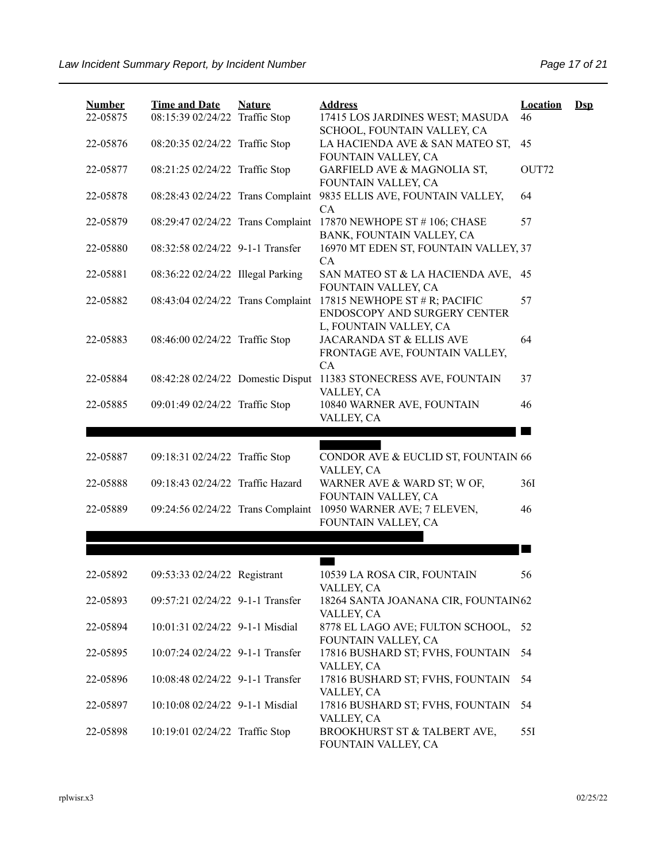| <b>Number</b><br>22-05875 | <b>Time and Date</b><br>08:15:39 02/24/22 Traffic Stop | <b>Nature</b> | <b>Address</b><br>17415 LOS JARDINES WEST; MASUDA                                      | <b>Location</b><br>46 | $\mathbf{Dsp}$ |
|---------------------------|--------------------------------------------------------|---------------|----------------------------------------------------------------------------------------|-----------------------|----------------|
| 22-05876                  | 08:20:35 02/24/22 Traffic Stop                         |               | SCHOOL, FOUNTAIN VALLEY, CA<br>LA HACIENDA AVE & SAN MATEO ST,<br>FOUNTAIN VALLEY, CA  | 45                    |                |
| 22-05877                  | 08:21:25 02/24/22 Traffic Stop                         |               | GARFIELD AVE & MAGNOLIA ST,<br>FOUNTAIN VALLEY, CA                                     | OUT72                 |                |
| 22-05878                  | 08:28:43 02/24/22 Trans Complaint                      |               | 9835 ELLIS AVE, FOUNTAIN VALLEY,<br>CA                                                 | 64                    |                |
| 22-05879                  | 08:29:47 02/24/22 Trans Complaint                      |               | 17870 NEWHOPE ST #106; CHASE<br>BANK, FOUNTAIN VALLEY, CA                              | 57                    |                |
| 22-05880                  | 08:32:58 02/24/22 9-1-1 Transfer                       |               | 16970 MT EDEN ST, FOUNTAIN VALLEY, 37<br>CA                                            |                       |                |
| 22-05881                  | 08:36:22 02/24/22 Illegal Parking                      |               | SAN MATEO ST & LA HACIENDA AVE,                                                        | 45                    |                |
| 22-05882                  | 08:43:04 02/24/22 Trans Complaint                      |               | FOUNTAIN VALLEY, CA<br>17815 NEWHOPE ST $#$ R; PACIFIC<br>ENDOSCOPY AND SURGERY CENTER | 57                    |                |
| 22-05883                  | 08:46:00 02/24/22 Traffic Stop                         |               | L, FOUNTAIN VALLEY, CA<br>JACARANDA ST & ELLIS AVE<br>FRONTAGE AVE, FOUNTAIN VALLEY,   | 64                    |                |
| 22-05884                  | 08:42:28 02/24/22 Domestic Disput                      |               | CA<br>11383 STONECRESS AVE, FOUNTAIN                                                   | 37                    |                |
| 22-05885                  | 09:01:49 02/24/22 Traffic Stop                         |               | VALLEY, CA<br>10840 WARNER AVE, FOUNTAIN<br>VALLEY, CA                                 | 46                    |                |
|                           |                                                        |               |                                                                                        |                       |                |
|                           |                                                        |               |                                                                                        |                       |                |
| 22-05887                  | 09:18:31 02/24/22 Traffic Stop                         |               | CONDOR AVE & EUCLID ST, FOUNTAIN 66                                                    |                       |                |
| 22-05888                  | 09:18:43 02/24/22 Traffic Hazard                       |               | VALLEY, CA<br>WARNER AVE & WARD ST; W OF,                                              | 36I                   |                |
| 22-05889                  | 09:24:56 02/24/22 Trans Complaint                      |               | FOUNTAIN VALLEY, CA<br>10950 WARNER AVE; 7 ELEVEN,<br>FOUNTAIN VALLEY, CA              | 46                    |                |
|                           |                                                        |               |                                                                                        |                       |                |
|                           |                                                        |               |                                                                                        | a sa                  |                |
| 22-05892                  | 09:53:33 02/24/22 Registrant                           |               | 10539 LA ROSA CIR, FOUNTAIN                                                            | 56                    |                |
| 22-05893                  | 09:57:21 02/24/22 9-1-1 Transfer                       |               | VALLEY, CA<br>18264 SANTA JOANANA CIR, FOUNTAIN62                                      |                       |                |
| 22-05894                  | 10:01:31 02/24/22 9-1-1 Misdial                        |               | VALLEY, CA<br>8778 EL LAGO AVE; FULTON SCHOOL,                                         | 52                    |                |
| 22-05895                  | 10:07:24 02/24/22 9-1-1 Transfer                       |               | FOUNTAIN VALLEY, CA<br>17816 BUSHARD ST; FVHS, FOUNTAIN                                | 54                    |                |
| 22-05896                  | 10:08:48 02/24/22 9-1-1 Transfer                       |               | VALLEY, CA<br>17816 BUSHARD ST; FVHS, FOUNTAIN                                         | 54                    |                |
| 22-05897                  | 10:10:08 02/24/22 9-1-1 Misdial                        |               | VALLEY, CA<br>17816 BUSHARD ST; FVHS, FOUNTAIN<br>VALLEY, CA                           | 54                    |                |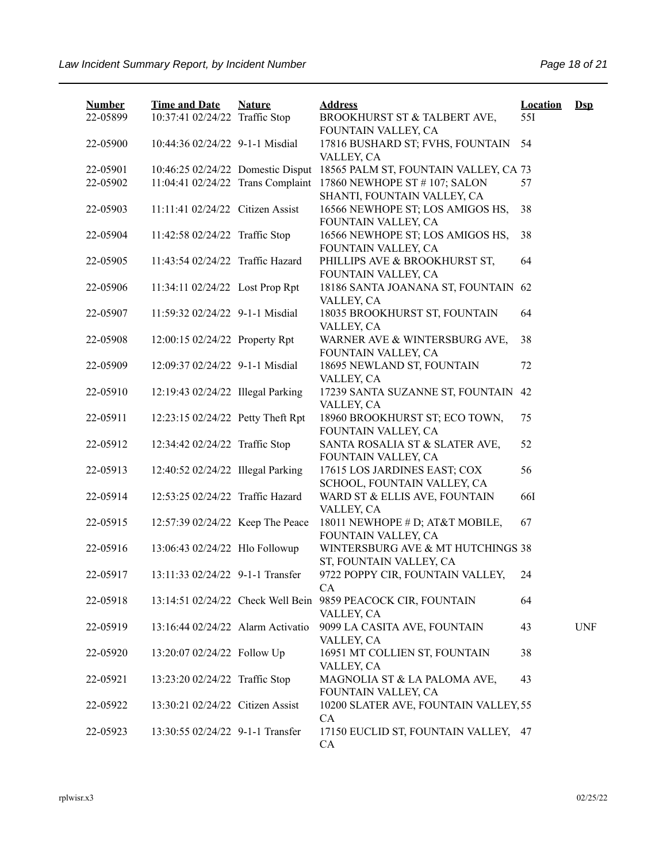| <b>Number</b> | <b>Time and Date</b>              | <b>Nature</b> | <b>Address</b>                                               | <b>Location</b> | $Dsp$      |
|---------------|-----------------------------------|---------------|--------------------------------------------------------------|-----------------|------------|
| 22-05899      | 10:37:41 02/24/22 Traffic Stop    |               | BROOKHURST ST & TALBERT AVE,<br>FOUNTAIN VALLEY, CA          | 551             |            |
| 22-05900      | 10:44:36 02/24/22 9-1-1 Misdial   |               | 17816 BUSHARD ST; FVHS, FOUNTAIN<br>VALLEY, CA               | 54              |            |
| 22-05901      | 10:46:25 02/24/22 Domestic Disput |               | 18565 PALM ST, FOUNTAIN VALLEY, CA 73                        |                 |            |
| 22-05902      | 11:04:41 02/24/22 Trans Complaint |               | 17860 NEWHOPE ST # 107; SALON<br>SHANTI, FOUNTAIN VALLEY, CA | 57              |            |
| 22-05903      | 11:11:41 02/24/22 Citizen Assist  |               | 16566 NEWHOPE ST; LOS AMIGOS HS,<br>FOUNTAIN VALLEY, CA      | 38              |            |
| 22-05904      | 11:42:58 02/24/22 Traffic Stop    |               | 16566 NEWHOPE ST; LOS AMIGOS HS,<br>FOUNTAIN VALLEY, CA      | 38              |            |
| 22-05905      | 11:43:54 02/24/22 Traffic Hazard  |               | PHILLIPS AVE & BROOKHURST ST,<br>FOUNTAIN VALLEY, CA         | 64              |            |
| 22-05906      | 11:34:11 02/24/22 Lost Prop Rpt   |               | 18186 SANTA JOANANA ST, FOUNTAIN 62<br>VALLEY, CA            |                 |            |
| 22-05907      | 11:59:32 02/24/22 9-1-1 Misdial   |               | 18035 BROOKHURST ST, FOUNTAIN<br>VALLEY, CA                  | 64              |            |
| 22-05908      | 12:00:15 02/24/22 Property Rpt    |               | WARNER AVE & WINTERSBURG AVE,<br>FOUNTAIN VALLEY, CA         | 38              |            |
| 22-05909      | 12:09:37 02/24/22 9-1-1 Misdial   |               | 18695 NEWLAND ST, FOUNTAIN<br>VALLEY, CA                     | 72              |            |
| 22-05910      | 12:19:43 02/24/22 Illegal Parking |               | 17239 SANTA SUZANNE ST, FOUNTAIN<br>VALLEY, CA               | 42              |            |
| 22-05911      | 12:23:15 02/24/22 Petty Theft Rpt |               | 18960 BROOKHURST ST; ECO TOWN,<br>FOUNTAIN VALLEY, CA        | 75              |            |
| 22-05912      | 12:34:42 02/24/22 Traffic Stop    |               | SANTA ROSALIA ST & SLATER AVE,<br>FOUNTAIN VALLEY, CA        | 52              |            |
| 22-05913      | 12:40:52 02/24/22 Illegal Parking |               | 17615 LOS JARDINES EAST; COX<br>SCHOOL, FOUNTAIN VALLEY, CA  | 56              |            |
| 22-05914      | 12:53:25 02/24/22 Traffic Hazard  |               | WARD ST & ELLIS AVE, FOUNTAIN<br>VALLEY, CA                  | <b>66I</b>      |            |
| 22-05915      | 12:57:39 02/24/22 Keep The Peace  |               | 18011 NEWHOPE # D; AT&T MOBILE,<br>FOUNTAIN VALLEY, CA       | 67              |            |
| 22-05916      | 13:06:43 02/24/22 Hlo Followup    |               | WINTERSBURG AVE & MT HUTCHINGS 38<br>ST, FOUNTAIN VALLEY, CA |                 |            |
| 22-05917      | 13:11:33 02/24/22 9-1-1 Transfer  |               | 9722 POPPY CIR, FOUNTAIN VALLEY,<br>CA                       | 24              |            |
| 22-05918      | 13:14:51 02/24/22 Check Well Bein |               | 9859 PEACOCK CIR, FOUNTAIN<br>VALLEY, CA                     | 64              |            |
| 22-05919      | 13:16:44 02/24/22 Alarm Activatio |               | 9099 LA CASITA AVE, FOUNTAIN<br>VALLEY, CA                   | 43              | <b>UNF</b> |
| 22-05920      | 13:20:07 02/24/22 Follow Up       |               | 16951 MT COLLIEN ST, FOUNTAIN<br>VALLEY, CA                  | 38              |            |
| 22-05921      | 13:23:20 02/24/22 Traffic Stop    |               | MAGNOLIA ST & LA PALOMA AVE,<br>FOUNTAIN VALLEY, CA          | 43              |            |
| 22-05922      | 13:30:21 02/24/22 Citizen Assist  |               | 10200 SLATER AVE, FOUNTAIN VALLEY, 55<br>CA                  |                 |            |
| 22-05923      | 13:30:55 02/24/22 9-1-1 Transfer  |               | 17150 EUCLID ST, FOUNTAIN VALLEY, 47<br>CA                   |                 |            |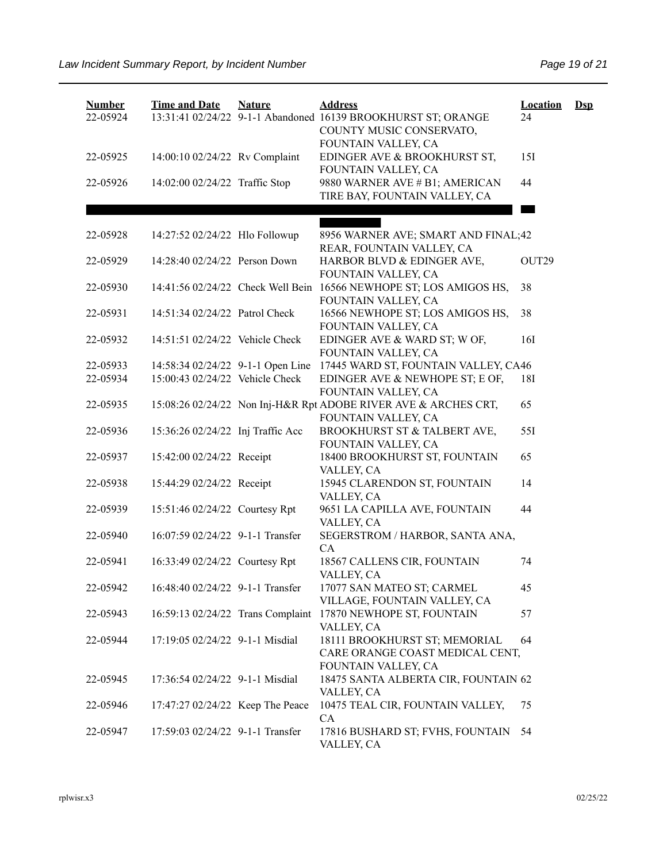| <b>Number</b><br>22-05924 | <b>Time and Date</b>              | <b>Nature</b> | <b>Address</b><br>13:31:41 02/24/22 9-1-1 Abandoned 16139 BROOKHURST ST; ORANGE<br>COUNTY MUSIC CONSERVATO, | <b>Location</b><br>24 | $\mathbf{Dsp}$ |
|---------------------------|-----------------------------------|---------------|-------------------------------------------------------------------------------------------------------------|-----------------------|----------------|
| 22-05925                  | 14:00:10 02/24/22 Rv Complaint    |               | FOUNTAIN VALLEY, CA<br>EDINGER AVE & BROOKHURST ST,<br>FOUNTAIN VALLEY, CA                                  | 15I                   |                |
| 22-05926                  | 14:02:00 02/24/22 Traffic Stop    |               | 9880 WARNER AVE # B1; AMERICAN<br>TIRE BAY, FOUNTAIN VALLEY, CA                                             | 44                    |                |
|                           |                                   |               |                                                                                                             |                       |                |
| 22-05928                  | 14:27:52 02/24/22 Hlo Followup    |               | 8956 WARNER AVE; SMART AND FINAL;42<br>REAR, FOUNTAIN VALLEY, CA                                            |                       |                |
| 22-05929                  | 14:28:40 02/24/22 Person Down     |               | HARBOR BLVD & EDINGER AVE,<br>FOUNTAIN VALLEY, CA                                                           | OUT29                 |                |
| 22-05930                  |                                   |               | 14:41:56 02/24/22 Check Well Bein 16566 NEWHOPE ST; LOS AMIGOS HS,<br>FOUNTAIN VALLEY, CA                   | 38                    |                |
| 22-05931                  | 14:51:34 02/24/22 Patrol Check    |               | 16566 NEWHOPE ST; LOS AMIGOS HS,<br>FOUNTAIN VALLEY, CA                                                     | 38                    |                |
| 22-05932                  | 14:51:51 02/24/22 Vehicle Check   |               | EDINGER AVE & WARD ST; W OF,<br>FOUNTAIN VALLEY, CA                                                         | 16I                   |                |
| 22-05933                  | 14:58:34 02/24/22 9-1-1 Open Line |               | 17445 WARD ST, FOUNTAIN VALLEY, CA46                                                                        |                       |                |
| 22-05934                  | 15:00:43 02/24/22 Vehicle Check   |               | EDINGER AVE & NEWHOPE ST; E OF,<br>FOUNTAIN VALLEY, CA                                                      | 18I                   |                |
| 22-05935                  |                                   |               | 15:08:26 02/24/22 Non Inj-H&R Rpt ADOBE RIVER AVE & ARCHES CRT,<br>FOUNTAIN VALLEY, CA                      | 65                    |                |
| 22-05936                  | 15:36:26 02/24/22 Inj Traffic Acc |               | BROOKHURST ST & TALBERT AVE,<br>FOUNTAIN VALLEY, CA                                                         | 55I                   |                |
| 22-05937                  | 15:42:00 02/24/22 Receipt         |               | 18400 BROOKHURST ST, FOUNTAIN<br>VALLEY, CA                                                                 | 65                    |                |
| 22-05938                  | 15:44:29 02/24/22 Receipt         |               | 15945 CLARENDON ST, FOUNTAIN<br>VALLEY, CA                                                                  | 14                    |                |
| 22-05939                  | 15:51:46 02/24/22 Courtesy Rpt    |               | 9651 LA CAPILLA AVE, FOUNTAIN<br>VALLEY, CA                                                                 | 44                    |                |
| 22-05940                  | 16:07:59 02/24/22 9-1-1 Transfer  |               | SEGERSTROM / HARBOR, SANTA ANA,<br>CA                                                                       |                       |                |
| 22-05941                  | 16:33:49 02/24/22 Courtesy Rpt    |               | 18567 CALLENS CIR, FOUNTAIN<br>VALLEY, CA                                                                   | 74                    |                |
| 22-05942                  | 16:48:40 02/24/22 9-1-1 Transfer  |               | 17077 SAN MATEO ST; CARMEL<br>VILLAGE, FOUNTAIN VALLEY, CA                                                  | 45                    |                |
| 22-05943                  | 16:59:13 02/24/22 Trans Complaint |               | 17870 NEWHOPE ST, FOUNTAIN<br>VALLEY, CA                                                                    | 57                    |                |
| 22-05944                  | 17:19:05 02/24/22 9-1-1 Misdial   |               | 18111 BROOKHURST ST; MEMORIAL<br>CARE ORANGE COAST MEDICAL CENT,<br>FOUNTAIN VALLEY, CA                     | 64                    |                |
| 22-05945                  | 17:36:54 02/24/22 9-1-1 Misdial   |               | 18475 SANTA ALBERTA CIR, FOUNTAIN 62<br>VALLEY, CA                                                          |                       |                |
| 22-05946                  | 17:47:27 02/24/22 Keep The Peace  |               | 10475 TEAL CIR, FOUNTAIN VALLEY,<br>CA                                                                      | 75                    |                |
| 22-05947                  | 17:59:03 02/24/22 9-1-1 Transfer  |               | 17816 BUSHARD ST; FVHS, FOUNTAIN<br>VALLEY, CA                                                              | 54                    |                |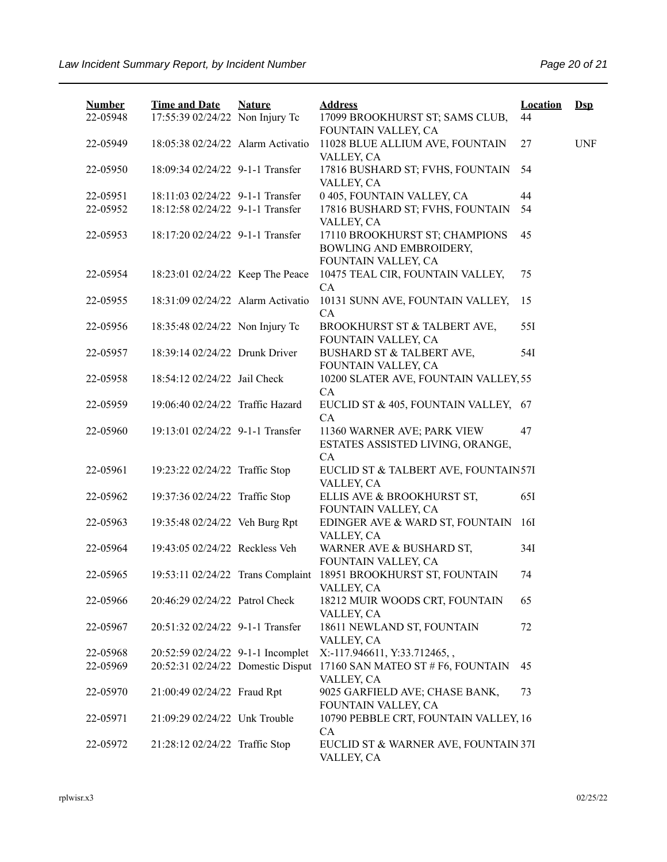| <b>Number</b> | <b>Time and Date</b>              | <b>Nature</b> | <b>Address</b>                                               | <b>Location</b> | $Ds$       |
|---------------|-----------------------------------|---------------|--------------------------------------------------------------|-----------------|------------|
| 22-05948      | 17:55:39 02/24/22 Non Injury Tc   |               | 17099 BROOKHURST ST; SAMS CLUB,                              | 44              |            |
| 22-05949      | 18:05:38 02/24/22 Alarm Activatio |               | FOUNTAIN VALLEY, CA<br>11028 BLUE ALLIUM AVE, FOUNTAIN       | 27              | <b>UNF</b> |
|               |                                   |               | VALLEY, CA                                                   |                 |            |
| 22-05950      | 18:09:34 02/24/22 9-1-1 Transfer  |               | 17816 BUSHARD ST; FVHS, FOUNTAIN                             | 54              |            |
| 22-05951      | 18:11:03 02/24/22 9-1-1 Transfer  |               | VALLEY, CA<br>0 405, FOUNTAIN VALLEY, CA                     | 44              |            |
| 22-05952      | 18:12:58 02/24/22 9-1-1 Transfer  |               | 17816 BUSHARD ST; FVHS, FOUNTAIN                             | 54              |            |
|               |                                   |               | VALLEY, CA                                                   |                 |            |
| 22-05953      | 18:17:20 02/24/22 9-1-1 Transfer  |               | 17110 BROOKHURST ST; CHAMPIONS<br>BOWLING AND EMBROIDERY,    | 45              |            |
|               |                                   |               | FOUNTAIN VALLEY, CA                                          |                 |            |
| 22-05954      | 18:23:01 02/24/22 Keep The Peace  |               | 10475 TEAL CIR, FOUNTAIN VALLEY,                             | 75              |            |
|               |                                   |               | CA                                                           |                 |            |
| 22-05955      | 18:31:09 02/24/22 Alarm Activatio |               | 10131 SUNN AVE, FOUNTAIN VALLEY,<br>CA                       | 15              |            |
| 22-05956      | 18:35:48 02/24/22 Non Injury Tc   |               | BROOKHURST ST & TALBERT AVE,                                 | 55I             |            |
|               |                                   |               | FOUNTAIN VALLEY, CA                                          |                 |            |
| 22-05957      | 18:39:14 02/24/22 Drunk Driver    |               | BUSHARD ST & TALBERT AVE,                                    | 54I             |            |
| 22-05958      | 18:54:12 02/24/22 Jail Check      |               | FOUNTAIN VALLEY, CA<br>10200 SLATER AVE, FOUNTAIN VALLEY, 55 |                 |            |
|               |                                   |               | CA                                                           |                 |            |
| 22-05959      | 19:06:40 02/24/22 Traffic Hazard  |               | EUCLID ST & 405, FOUNTAIN VALLEY, 67                         |                 |            |
| 22-05960      | 19:13:01 02/24/22 9-1-1 Transfer  |               | CA<br>11360 WARNER AVE; PARK VIEW                            | 47              |            |
|               |                                   |               | ESTATES ASSISTED LIVING, ORANGE,                             |                 |            |
|               |                                   |               | CA                                                           |                 |            |
| 22-05961      | 19:23:22 02/24/22 Traffic Stop    |               | EUCLID ST & TALBERT AVE, FOUNTAIN57I                         |                 |            |
| 22-05962      | 19:37:36 02/24/22 Traffic Stop    |               | VALLEY, CA<br>ELLIS AVE & BROOKHURST ST,                     | 65I             |            |
|               |                                   |               | FOUNTAIN VALLEY, CA                                          |                 |            |
| 22-05963      | 19:35:48 02/24/22 Veh Burg Rpt    |               | EDINGER AVE & WARD ST, FOUNTAIN                              | 16I             |            |
|               |                                   |               | VALLEY, CA                                                   |                 |            |
| 22-05964      | 19:43:05 02/24/22 Reckless Veh    |               | WARNER AVE & BUSHARD ST,<br>FOUNTAIN VALLEY, CA              | 34I             |            |
| 22-05965      | 19:53:11 02/24/22 Trans Complaint |               | 18951 BROOKHURST ST, FOUNTAIN                                | 74              |            |
|               |                                   |               | VALLEY, CA                                                   |                 |            |
| 22-05966      | 20:46:29 02/24/22 Patrol Check    |               | 18212 MUIR WOODS CRT, FOUNTAIN<br>VALLEY, CA                 | 65              |            |
| 22-05967      | 20:51:32 02/24/22 9-1-1 Transfer  |               | 18611 NEWLAND ST, FOUNTAIN                                   | 72              |            |
|               |                                   |               | VALLEY, CA                                                   |                 |            |
| 22-05968      | 20:52:59 02/24/22 9-1-1 Incomplet |               | X:-117.946611, Y:33.712465,,                                 |                 |            |
| 22-05969      | 20:52:31 02/24/22 Domestic Disput |               | 17160 SAN MATEO ST # F6, FOUNTAIN<br>VALLEY, CA              | 45              |            |
| 22-05970      | 21:00:49 02/24/22 Fraud Rpt       |               | 9025 GARFIELD AVE; CHASE BANK,                               | 73              |            |
|               |                                   |               | FOUNTAIN VALLEY, CA                                          |                 |            |
| 22-05971      | 21:09:29 02/24/22 Unk Trouble     |               | 10790 PEBBLE CRT, FOUNTAIN VALLEY, 16                        |                 |            |
| 22-05972      | 21:28:12 02/24/22 Traffic Stop    |               | CA<br>EUCLID ST & WARNER AVE, FOUNTAIN 37I                   |                 |            |
|               |                                   |               | VALLEY, CA                                                   |                 |            |